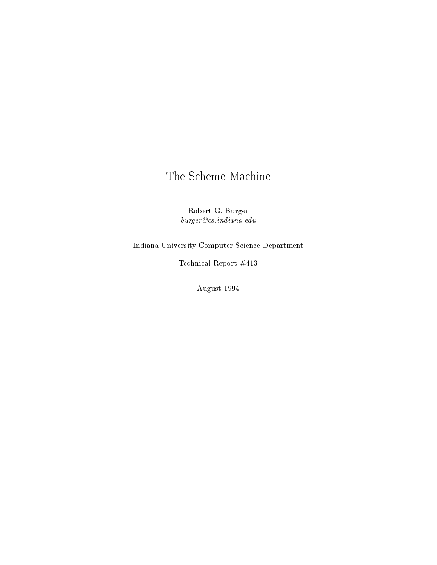# The Scheme Machine

Robert G. Burger  $\label{eq:4} \begin{array}{ll} \textit{burger} @ \textit{cs}.\textit{indiana.edu}\\ \end{array}$ 

Indiana University Computer Science Department

Technical Report #413

August 1994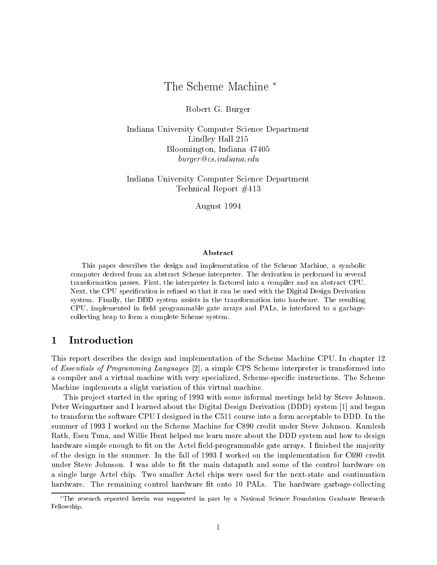## The Scheme Machine

Robert G. Burger

Indiana University Computer Science Department Lindley Hall 215 Bloomington, Indiana 47405 burger@cs.indiana.edu

Indiana University Computer Science Department Technical Report #413

August 1994

#### Abstract

This paper describes the design and implementation of the Scheme Machine, a symbolic computer derived from an abstract Scheme interpreter. The derivation is performed in several transformation passes. First, the interpreter is factored into a compiler and an abstract CPU. Next, the CPU specification is refined so that it can be used with the Digital Design Derivation system. Finally, the DDD system assistsin the transformation into hardware. The resulting CPU, implemented in field programmable gate arrays and PALs, is interfaced to a garbagecollecting heap to form a complete Scheme system.

#### $\mathbf 1$ **Introduction**

This report describes the design and implementation of the Scheme Machine CPU. In chapter 12 of Essentials of Programming Languages [2], a simple CPS Scheme interpreter is transformed into a compiler and a virtual machine with very specialized, Scheme-specific instructions. The Scheme Machine implements a slight variation of this virtual machine.

This project started in the spring of 1993 with some informal meetings held by Steve Johnson. Peter Weingartner and I learned about the Digital Design Derivation (DDD) system [1] and began to transform the software CPU I designed in the C511 course into a form acceptable to DDD. In the summer of 1993 I worked on the Scheme Machine for C890 credit under Steve Johnson. Kamlesh Rath, Esen Tuna, and Willie Hunt helped me learn more about the DDD system and how to design hardware simple enough to fit on the Actel field-programmable gate arrays. I finished the majority of the design in the summer. In the fall of 1993 I worked on the implementation for C690 credit under Steve Johnson. I was able to fit the main datapath and some of the control hardware on a single large Actel chip. Two smaller Actel chips were used for the next-state and continuation hardware. The remaining control hardware fit onto 10 PALs. The hardware garbage-collecting

The research reported herein was supported in part by <sup>a</sup> National Science Foundation Graduate Research Fellowship.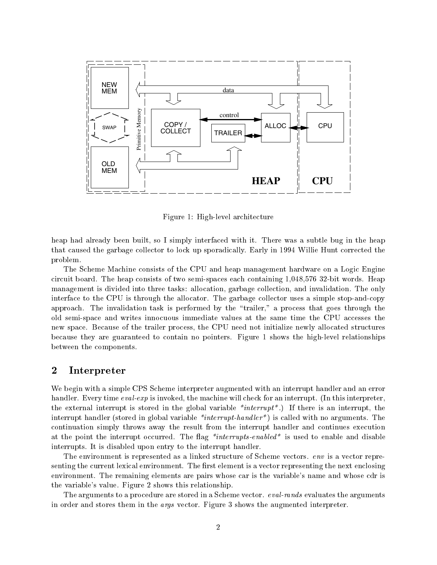

Figure 1: High-level architecture

heap had already been built, so I simply interfaced with it. There was a subtle bug in the heap that caused the garbage collector to lock up sporadically. Early in 1994 Willie Hunt corrected the problem.

The Scheme Machine consists of the CPU and heap management hardware on a Logic Engine circuit board. The heap consists of two semi-spaces each containing 1,048,576 32-bit words. Heap management is divided into three tasks: allocation, garbage collection, and invalidation. The only interface to the CPU is through the allocator. The garbage collector uses a simple stop-and-copy approach. The invalidation task is performed by the \trailer," a process that goes through the old semi-space and writes innocuous immediate values at the same time the CPU accesses the new space. Because of the trailer process, the CPU need not initialize newly allocated structures because they are guaranteed to contain no pointers. Figure 1 shows the high-level relationships between the components.

#### $\overline{2}$ **Interpreter**

We begin with a simple CPS Scheme interpreter augmented with an interrupt handler and an error handler. Every time *eval-exp* is invoked, the machine will check for an interrupt. (In this interpreter, the external interrupt is stored in the global variable  $*interrupt$ . If there is an interrupt, the interrupt handler (stored in global variable  $*interrupt-hardler*)$  is called with no arguments. The continuation simply throws away the result from the interrupt handler and continues execution at the point the interrupt occurred. The flag  $*interruples-endled*$  is used to enable and disable interrupts. It is disabled upon entry to the interrupt handler.

The environment is represented as a linked structure of Scheme vectors. *env* is a vector representing the current lexical environment. The first element is a vector representing the next enclosing environment. The remaining elements are pairs whose car is the variable's name and whose cdr is the variable's value. Figure 2 shows this relationship.

The arguments to a procedure are stored in a Scheme vector. eval-rands evaluates the arguments in order and stores them in the *args* vector. Figure 3 shows the augmented interpreter.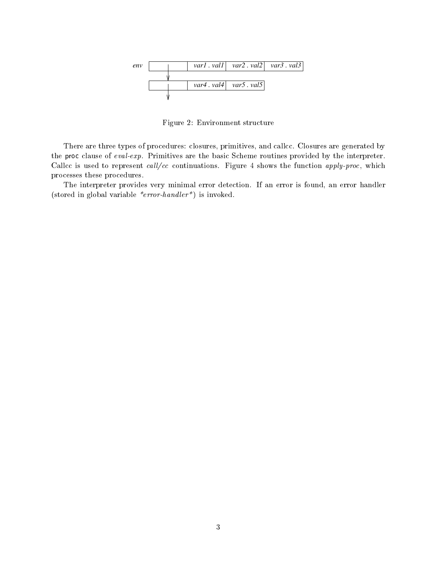

Figure 2: Environment structure

There are three types of procedures: closures, primitives, and callcc. Closures are generated by the proc clause of eval-exp. Primitives are the basic Scheme routines provided by the interpreter. Callcc is used to represent  $call/cc$  continuations. Figure 4 shows the function apply-proc, which processes these procedures.

The interpreter provides very minimal error detection. If an error is found, an error handler (stored in global variable \*error-handler\*) is invoked.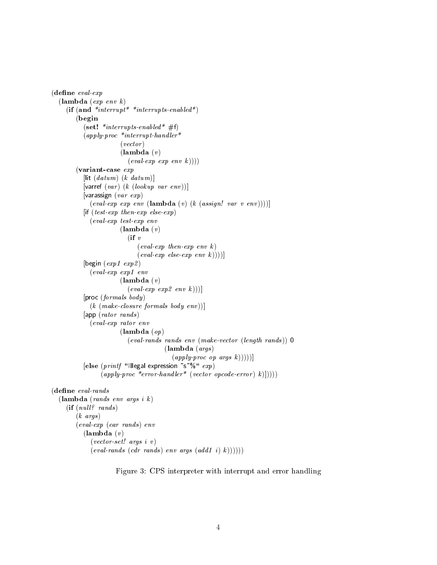```
(define\ eval\text{-}exp(\textbf{lambda} (exp \text{ env } k))(if (and *interrupt* *interrupts-enabled*)(begin
             (set! *interrupts-enabled* #f)
             (a p p l y-proc *interrupt-handler*
                             (<i>vector</i>)(\textbf{lambda}(v))\left(\text{eval-}exp \text{ } \exp \text{ } \text{env} \text{ } k))\right)(variant-case exp
             [lit (datum) (k datum)][varref (var) (k (lookup \ var \ env))]
             \sqrt{var\, exp}\left(\text{eval-exp } \text{exp} \text{ env } (\text{lambda } (v) (k \text{ (assign! var } v \text{ env}))))\right)[if (test-exp then-exp else-exp)]
                (eval-exp test-exp env
                             (\textbf{lambda}(v))(ii v)\text{(eval-}exp\ \text{then-}exp\ \text{env}\ \textit{k}\left(\text{eval-}exp \text{ else } \text{exp} \text{ env } k))\right)\right)[begin (exp1 \, exp2)]
                (eval-exp exp1 env
                             (\textbf{lambda}(v))\left(\text{eval-}exp \, \text{exp2} \, \text{env} \, k))\right)[proc (formals body)
                (k \ (make-closure \ formulas \ body \ env))[app (rator rands )
                (eval-exp rator env
                             (\textbf{lambda}(op))(eval-rands rands env (make-vector (length rands )) 0
                                                 (lambda (args )
                                                    (\text{apply-proc op args } k))))[else (printf "Illegal expression ~s~%" exp)
                     (\text{apply-proc} *error-handler* (vector opcode-error) k (1)))))
(define\ eval\-rands(\textbf{lambda} \text{ (rands env args i } k))(if (null? \ rands)(k \; args)(eval-exp (car rands ) env
             (\textbf{lambda}(v))(vector-set! args \, i \, v)\{(eval\ -rands\ (cdr\ rands) env\ args\ (add1\ i)\ k))))))
```
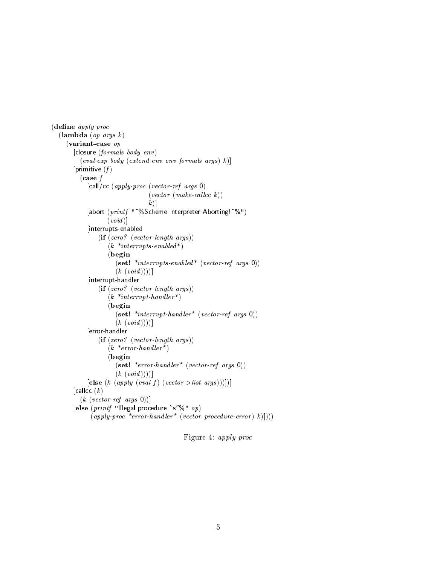```
(define \ apply\cdot proc)(\textbf{lambda} (op \; args \; k))(variant-case op
       [closure (fromals body env]
          \left(\textit{eval-exp\_body}\;\left(\textit{extend-env\_env\_formals\_args}\right)\;k\right)[primitive (f)(\case f)[call/cc (apply-proc (vector-ref args 0)](vector (make-called)|k|[abort (printf "~%Scheme Interpreter Aborting!~%")
                    (void)[interrupts-enabled
                 (if (zero? (vector-length args))(k *interrupts-enabeled *)(begin
                       (set! *interrupts-enabled* (vector-ref args 0))
                       (k \; (void)))[interrupt-handler
                 (if (zero? (vector-length args))(k *interrupt\text{-}handler*)(begin
                       (\textbf{set!} *interrupt-handler* (vector-ref args 0))
                       (k \; (void)))[error-handler
                 (if (zero? (vector-length args ))
                     (k \cdot \text{error-handler*})(begin
                       (set! *error-handler* (vector-ref args 0))
                       (k \ (void)))[e] \textbf{else} \ (k \ (apply \ (eval \ f) \ (vector \texttt{&} \ (args))))])[callcc (k)(k (vector-ref args 0))]
        [else (printf "Illegal procedure "s"%" op)
              (\text{apply-proc *error-handler*} (vector procedure-error) k))))
```
Figure 4: apply-proc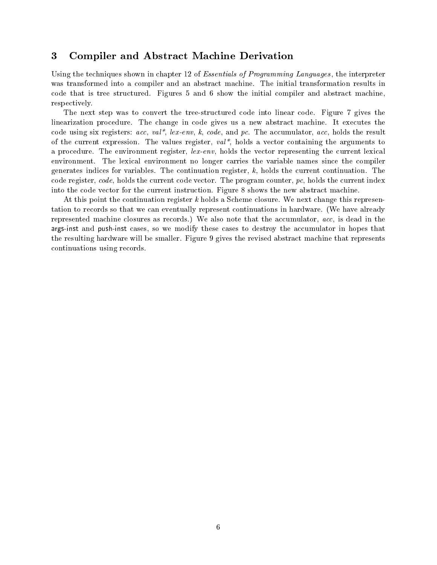## 3 Compiler and Abstract Machine Derivation

Using the techniques shown in chapter 12 of Essentials of Programming Languages , the interpreter was transformed into a compiler and an abstract machine. The initial transformation results in code that is tree structured. Figures 5 and 6 show the initial compiler and abstract machine, respectively.

The next step was to convert the tree-structured code into linear code. Figure 7 gives the linearization procedure. The change in code gives us a new abstract machine. It executes the code using six registers:  $acc$ ,  $val^*$ ,  $lex-env$ ,  $k$ ,  $code$ , and  $pc$ . The accumulator,  $acc$ , holds the result of the current expression. The values register,  $val^*$ , holds a vector containing the arguments to a procedure. The environment register, lex-env, holds the vector representing the current lexical environment. The lexical environment no longer carries the variable names since the compiler generates indices for variables. The continuation register,  $k$ , holds the current continuation. The code register,  $code$ , holds the current code vector. The program counter,  $pc$ , holds the current index into the code vector for the current instruction. Figure 8 shows the new abstract machine.

At this point the continuation register  $k$  holds a Scheme closure. We next change this representation to records so that we can eventually represent continuations in hardware. (We have already represented machine closures as records.) We also note that the accumulator, acc, is dead in the args-inst and push-inst cases, so we modify these cases to destroy the accumulator in hopes that the resulting hardware will be smaller. Figure 9 gives the revised abstract machine that represents continuations using records.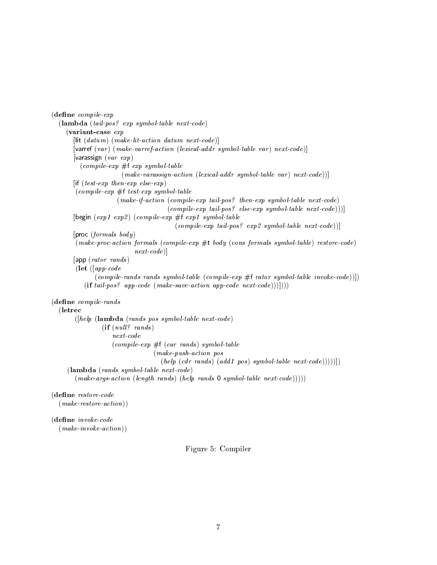```
(define\ compile\text{-}exp(lambda (tail-pos? exp symbol-table next-code)
    (variant-case exp
       [lit (datum) (make-lit-action datum next-code)]
       [varref (var) (make-varref-action (lexical-addr symbol-table var) next-code)]
       [varassign (var \ exp)\emph{(complete-exp#f exp symbol-table)}(make-var assign-action (lexical-addr symbol-table var) next-code))[if (test-exp then-exp else-exp)
       \emph{(compile-exp#f test-exp symbol-table)}(make-if-action (compile-exp tail-pos? then-exp symbol-table next-code)
                                      (compile-exp-tail-pos? else-exp symbol-table next-code)))[begin (exp1 exp2) (compile-exp #f exp1 symbol-table(compile-exp tail-pos? exp2 symbol-table next-code))]
       [proc (formals \ body)]
       (make-proc-action formals (compile-exp #t body (cons formals symbol-table) restore-code)
                           next-code)]
       [app (rator rands )
       (let ([app-code
              (compile\-rands\ rands\ symbol\-table\ (compile\ exp\ #f\ rator\ symbol\-table\ invoke\-code\}))(if tail-pos? app-code (make-save-action app-code next-code))]))))
(define compile-rands
  (letrec
       ([help (lambda (rands pos symbol-table next-code))(if (null? \ rands)next-code(compile-exp #f(car rands) symbol-table(make-push-action pos
                                   (help (cdr rands) (add1 pos) symbol-table next-code))))(lambda (rands symbol-table next-code)
       (make-args-action (length \ rands) (help \ rands 0 symbol-table \ next-code))))(dene restore-code
  (make-restore-action))
```
#### (dene invoke-code  $(make-invoke-action))$

Figure 5: Compiler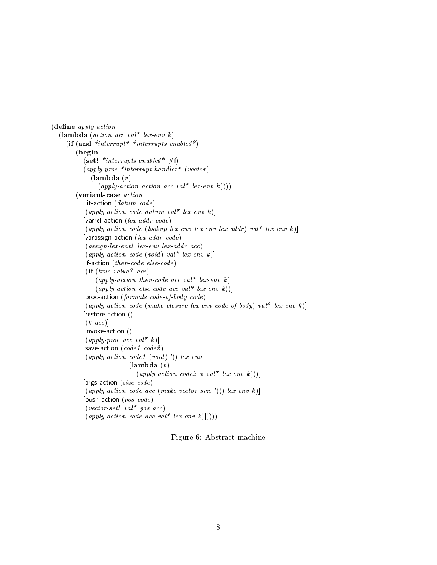```
(define apply-action
     (lambda (action acc val<sup>*</sup> lex-env k)
          (if (and *interrupt* *interrupts-enabled*)(begin
                     (set! *interrupts-enabled* #f)
                     (\alpha p \in \text{upper} \times \text{lower} \times \text{lower} \times \text{lower} \times \text{lower} \times \text{lower} \times \text{lower} \times \text{lower} \times \text{lower} \times \text{lower} \times \text{lower} \times \text{lower} \times \text{lower} \times \text{lower} \times \text{lower} \times \text{lower} \times \text{lower} \times \text{lower} \times \text{lower} \times \text{lower} \times \text{lower} \times \text{lower} \times \text{lower} \times \text{lower} \times \text{lower} \times \text{lower} \times \text{lower} \times \text{lower} \times \text{lower} \times \text{lower} \times \text{lower}(\textbf{lambda}(v))(apply-action action acc val* lex-env k)))(variant-case action
                     [lit-action (datum \ code)(\alpha pply-action code datum val * lex-env k)][varref-action (lex-addr \ code)(\alpha p \text{ is a } x \text{ is a } c (lookup-lex-env lex-env lex-addr) val* lex-env k)]
                     [varassign-action (lex-addr\ code)(assign-lex-env! lex-env lex-addr acc)
                      (\alpha pply-action code (void) val* lex-env k)][if-action (then-code\ else-code)(if (true-value? acc)
                             (apply-action then-code acc val* lex-env k)(\alpha pply-action \ else \ code \ acc \ val^* \ lex\ env \ k))][proc-action (formals code-of-body code)(apply-action code (make-closure lex-env code-of-body) val* lex-env k)]
                     [restore-action ()
                      (k \; acc)]
                     [invoke-action ()
                      (\alpha p \in l \text{space } acc \text{ } val^* \text{ } k)[save-action (code1 code2)
                      (\alpha p\nu) \cdot \alpha action code1 (void) '() lex-env
                                                    (\textbf{lambda}(v))(\alpha p \text{ }\text{ }\text{ }\text{ }a\text{ }\text{ }c\text{ }\text{ }\text{ }c\text{ }\text{ }i\text{ }\text{ }c\text{ }\text{ }a\text{ }\text{ }c\text{ }\text{ }b\text{ }\text{ }a\text{ }\text{ }b\text{ }\text{ }c\text{ }\text{ }a\text{ }\text{ }b\text{ }\text{ }c\text{ }\text{ }a\text{ }\text{ }b\text{ }\text{ }a\text{ }\text{ }c\text{ }\text{ }i\text{ }\text{ }a\text{ }\text{ }b\text{ }\text{ }c\text{ }\text{ }a\text{ }\text{ }b\text{ }\text{ }a\text{ }\text{ }b[args-action (size code)
                      (\text{apply-action code } acc \text{ (make-vector size ')}) \text{ } lex\text{ } env \text{ } k)][push-action (pos \ code)(vector-set! val* pos acc)(\text{apply-action code } acc \text{ val* } lex\text{-}env \text{ k}))))
```
Figure 6: Abstract machine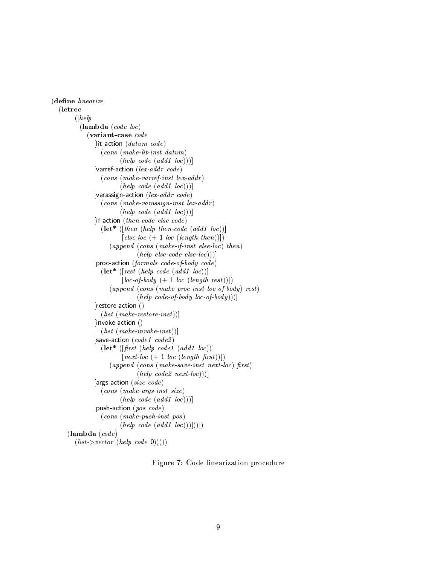```
(define linearize
  (letrec
         ([help](lambda (code loc)
              (variant-case code
                [lit-action (dataum \ code)(cons (make-lit-inst datum)
                          (help \ code (add1 \ loc)))[varref-action (lex-addr code)
                   (cons (make-varref-inst lex-addr )
                          (help \ code (add1 \ loc)))[varassign-action (lex-addr \ code)(cons (make-varassign-inst lex-addr))(help \ code (add1 \ loc)))[if-action (then-code\ else-code)(\textbf{let* } ([then~(help~then~code~(add1~loc))]\left[ \text{else-} \text{loc } (+ 1 \text{ loc } (\text{length } \text{then}))) \right](append (cons (make-if-inst else-loc) then)
                                 (help \; else\; code \; else\; -loc)))[proc-action (formals code-of-body code)(\textbf{let* } (\text{rest } (\text{help code } (\text{add1 } \text{loc}))]
                           [loc-of-body (+ 1 loc (length rest))](\text{append }(\text{cons }(\text{make-proc-inst }loc\text{-}of\text{-}body)\text{ rest})(help\ code-of-body\ loc-of-body))]
                [restore-action ()
                   (list (make-restore-inst))][invoke-action ()
                   (list (make-inroke-inst))][save-action (code1 \; code2)]
                   (\text{let* } ([first \text{ (help code1 } (add1 \text{ loc})))[next\text{-}loc (+ 1 loc (length first))](a append (cons (make-save-inst next-loc) first)(help \ code2 \ next·loc))[args-action (size code)(cons (make-args-inst size)
                          (help \ code (add1 \ loc)))[push-action (pos \ code)(cons (make-push-inst pos )
                          (help \ code (add1 \ loc))))])(lambda (code)
         (list \gt vector (help code 0))))
```
Figure 7: Code linearization procedure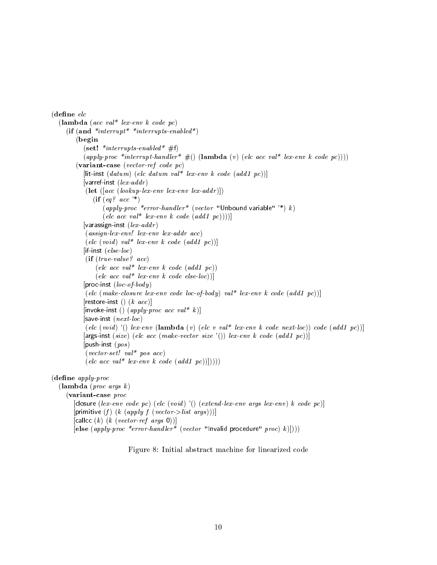```
(define elc
   (lambda (acc val* lex-env k code pc)
      (if (and *interrupt**interrupts-enabled*)
           (begin
              (set! *interrupts-enabled* #f)
              (\alpha p \cdot p \cdot p \cdot \text{interrupt-handler* } \#() (\text{lambda } (v) (\text{elc } acc \text{ val* } lex\text{env } k \text{ code } pc))))(variant-case (vector-ref code pc)
              [lit-inst (datum) (elc datum val* lex-env k code (add1 pc)]]
              [varref-inst (lex-addr)(let ([acc (lookup-lex-env \ lex-env \ lex-addr)]))
                  (if (eq? acc '*)(apply-proc *error-handler* (vector "Unbound variable" '*) k)
                       \text{(}elc \text{ }acc \text{ } val^* \text{ } lex\text{-}env \text{ } k \text{ } code \text{ } (add1 \text{ } pc))))[varassign-inst (lex-addr)]
               (assign-lex-env! lex-env lex-addr acc)
               \left(\begin{array}{cc} elec \ (void) \ val^* \ lex\ env \ k \ code \ (add1 \ pc)\end{array}\right)[if-inst (else-loc)(if (true-value? acc)
                   \begin{pmatrix} elec \; acc \; val^* \; lex\; env \; k \; code \; (add1 \; pc)\end{pmatrix}\text{(}elc \text{ }acc \text{ } val^* \text{ } lex\text{-}env \text{ } k \text{ } code \text{ } else\text{-}loc\text{)})]
              [proc-inst (loc-of-body)]
               (elc (make-closure lex-env code loc-of-body) val* lex-env k code (add1 pc))]
              [restore-inst () (k \; acc)][invoke-inst () (\alpha p \in p \mid \alpha \in \alpha \in \alpha \in \alpha \in \alpha \in \alpha \in \alpha]
              [save-inst (next-loc)]
               \left(\text{elc (void )'}\right) lex-env (lambda \left(v\right) (elc v val* lex-env k code next-loc)) code \left(\text{add1~pc}\right)[args-inst (size) (elc acc (make-vector size '()) lex-env k code (add1 pc)]
              [push-inst (pos)](vector-set! val * pos acc)\left(\begin{array}{cc} elec\; acc\; val^*\; lex\; env\; k\; code\; (add1\; pc))\end{array}\right))(define \ apply\cdot proc(\textbf{lambda} (proc \textit{args } k))(variant-case proc
          [closure (lex-env code pc) (ele (void) '() (extend-lex-env args lex-env) k code pc)][primitive (f) (k (apply f (vector->list args))]]
          [callcc (k) (k (vector-ref args 0))]
          [else (apply-proc *error-handler* (vector "Invalid procedure" proc) k (i))))
```
Figure 8: Initial abstract machine for linearized code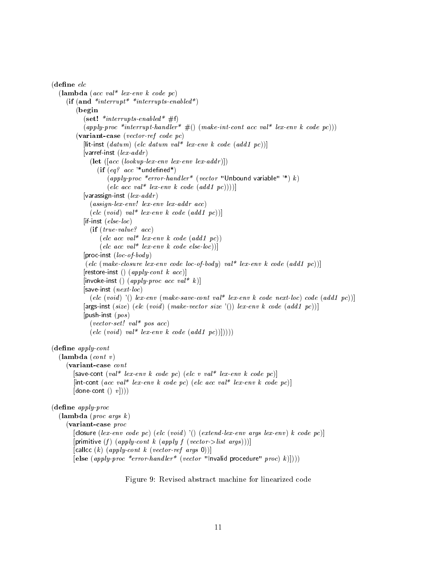```
\theta (define elc\sqrt{ } experience electricity of \mathcal{C}(lambda (acc val* lex-env k code pc)
       (if (and *interrupt* *interrupts-enabled*)(begin
               (set! *interrupts-enabled* #f)
               (\alpha p \nu \cdot \text{proc}^* \text{interrupt-handler* } \#() (\text{make-int-cont } acc \text{ val* } lex\text{-}env \text{ } k \text{ code } pc)))(variant-case (vector-ref code pc)
               [lit-inst (datum) (elc datum val* lex-env k code (add1 pc))]
               [varref-inst (lex-addr)(\text{let } ([acc (lookup-lex-env \text{ } lex-env \text{ } lex-addr)])(if (eq? acc '*undefined*)
                           (\alpha p \nu \cdot \text{proc} \cdot \text{error} \cdot \text{handler}^* \cdot (\text{vector} \cdot \text{Unbound} \cdot \text{variable} \cdot \text{row}) k)\left(\text{elc }acc \text{ }val^* \text{ }lex\text{ }env \text{ } k \text{ }code\text{ }(\text{add1 } pc))\right)\right)[varassign-inst (lex-addr)(assign-lex-env! lex-env lex-addr acc)
                  \text{(}elc \text{ } (void) \text{ } val* \text{ } lex\text{ } env \text{ } k \text{ } code \text{ } (add1 \text{ } pc))[if-inst (else-loc)(if (true-value? acc)
                       \text{(}elc \text{ }acc \text{ } val^* \text{ } lex\text{-}env \text{ } k \text{ } code \text{ } (add1 \text{ } pc))\text{(}elc \text{ }acc \text{ } val^* \text{ } lex\text{-}env \text{ } k \text{ } code \text{ } else\text{-}loc))[proc-inst (loc-of-body)](elc (make-closure lex-env code loc-of-body) val<sup>*</sup> lex-env k code (add1 pc))]
               [restore-inst () (\text{apply-cont } k \text{ acc})]
               [invoke-inst () (\alpha p \in p \mid \alpha \in \alpha \in \alpha \in \alpha \in \alpha \in \alpha \in \alpha]
               [save-inst (next-loc)
                  (elc (void) '() lex-env (make-save-cont val* lex-env k code next-loc) code (add1 pc))]
               [args-inst (size) (elc (void) (make-vector size '()) lex-env k code (add1 pc))]
               [push-inst (pos)](vector-set! val * pos acc)\left(\text{elc (void) val* lex-env k code } (\text{add1 pc}))\right))(define \ apply\text{-}cont(\textbf{lambda} (cont v))(variant-case cont
          [save-cont \left( val^* \text{ } lex\text{-}env \text{ } k \text{ } code \text{ } pc \right) \left( elec \text{ } v \text{ } val^* \text{ } lex\text{-}env \text{ } k \text{ } code \text{ } pc \right)]
          [int-cont (acc val* lex-env k code pc) (elc acc val* lex-env k code pc)]
          [done\text{-}cont () v]))(define \ apply\cdot proc(\textbf{lambda} (proc args k))(variant-case proc
          [closure (lex-env code pc) (ele (void) '() (extend-lex-env args lex-env) k code pc)][primitive (f) (apply-cont k (apply f (vector->list args)))]
          [callcc (k) (apply-cont k (vector-ref args 0))]
          [else (\text{apply-proc *error-handler*} (\text{vector "Invalid procedure" proc}) k))))
```
Figure 9: Revised abstract machine for linearized code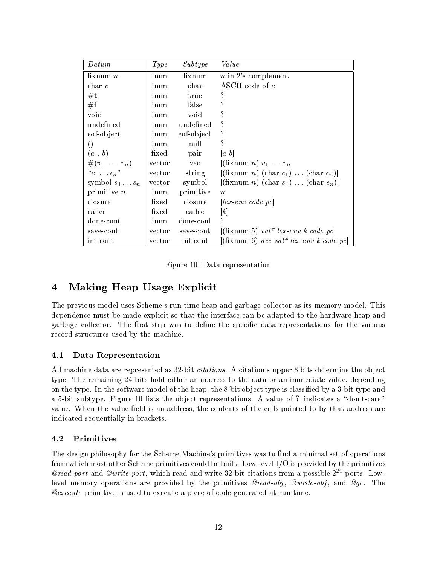| $\it{Datum}$                 | Type   | Subtype       | Value                                                                                       |
|------------------------------|--------|---------------|---------------------------------------------------------------------------------------------|
| fixnum $n$                   | imm    | fixnum        | $n$ in 2's complement                                                                       |
| $char\ c$                    | imm    | $_{\rm char}$ | ASCII code of c                                                                             |
| $\#t$                        | imm    | true          | $\cdot$                                                                                     |
| #f                           | imm    | false         | ?                                                                                           |
| void                         | imm    | void          | ?                                                                                           |
| undefined                    | imm    | undefined     | ?                                                                                           |
| eof-object                   | imm    | eof-object    | ?                                                                                           |
| $\left( \right)$             | imm    | null          | ?                                                                                           |
| $(a \cdot b)$                | fixed  | pair          | $ a\> b $                                                                                   |
| $\#(v_1 \ldots v_n)$         | vector | vec           | $[($ fixnum n $)v_1 \ldots v_n]$                                                            |
| ${}^{\alpha}c_1 \ldots c_n"$ | vector | string        | $[($ fixnum <i>n</i> $)($ (char <i>c</i> <sub>1</sub> $)$ (char <i>c</i> <sub>n</sub> $)$ ] |
| symbol $s_1 \ldots s_n$      | vector | symbol        | $[($ fixnum <i>n</i> $)($ (char <i>s</i> <sub>1</sub> $)($ (char <i>s</i> <sub>n</sub> $)($ |
| primitive $n$                | imm    | primitive     | $\eta$                                                                                      |
| closure                      | fixed  | closure       | $\left[ \right] \int e^{x} e^{x} e^{y} dx$                                                  |
| callcc                       | fixed  | callcc        | $\vert k \vert$                                                                             |
| done-cont                    | imm    | done-cont     | 7                                                                                           |
| save-cont                    | vector | save-cont     | $[($ fixnum 5 $)$ val <sup>*</sup> lex-env k code pc $]$                                    |
| int-cont                     | vector | int-cont      | $\left[ (\text{fixnum 6}) \; acc \; val^* \; lex\text{-}env \; k \; code \; p \right]$      |

Figure 10: Data representation

#### Making Heap Usage Explicit  $\overline{\mathbf{4}}$

The previous model uses Scheme's run-time heap and garbage collector as its memory model. This dependence must be made explicit so that the interface can be adapted to the hardware heap and garbage collector. The first step was to define the specific data representations for the various record structures used by the machine.

## 4.1 Data Representation

All machine data are represented as 32-bit *citations*. A citation's upper 8 bits determine the object type. The remaining 24 bits hold either an address to the data or an immediate value, depending on the type. In the software model of the heap, the 8-bit object type is classified by a 3-bit type and a 5-bit subtype. Figure 10 lists the object representations. A value of ? indicates a "don't-care" value. When the value field is an address, the contents of the cells pointed to by that address are indicated sequentially in brackets.

#### 4.2 **Primitives**

The design philosophy for the Scheme Machine's primitives was to find a minimal set of operations from which most other Scheme primitives could be built. Low-level I/O is provided by the primitives @read-port and @write-port, which read and write 32-bit citations from a possible  $2^{24}$  ports. Lowlevel memory operations are provided by the primitives  $\mathcal{Q}read-obj$ ,  $\mathcal{Q}write-obj$ , and  $\mathcal{Q}gc$ . The @execute primitive is used to execute a piece of code generated at run-time.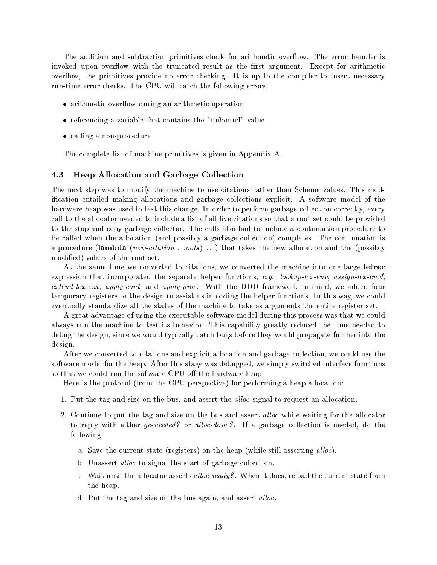The addition and subtraction primitives check for arithmetic overflow. The error handler is invoked upon overflow with the truncated result as the first argument. Except for arithmetic overflow, the primitives provide no error checking. It is up to the compiler to insert necessary run-time error checks. The CPU will catch the following errors:

- arithmetic overflow during an arithmetic operation
- referencing a variable that contains the "unbound" value
- calling a non-procedure

The complete list of machine primitives is given in Appendix A.

#### 4.3 Heap Allocation and Garbage Collection

The next step was to modify the machine to use citations rather than Scheme values. This modication entailed making allocations and garbage collections explicit. A software model of the hardware heap was used to test this change. In order to perform garbage collection correctly, every call to the allocator needed to include a list of all live citations so that a root set could be provided to the stop-and-copy garbage collector. The calls also had to include a continuation procedure to be called when the allocation (and possibly a garbage collection) completes. The continuation is a procedure (lambda (new-citation . roots) ...) that takes the new allocation and the (possibly modied) values of the root set.

At the same time we converted to citations, we converted the machine into one large letrec expression that incorporated the separate helper functions, e.g., lookup-lex-env, assign-lex-env! extend-lex-env, apply-cont, and apply-proc. With the DDD framework in mind, we added four temporary registers to the design to assist us in coding the helper functions. In this way, we could eventually standardize all the states of the machine to take as arguments the entire register set.

A great advantage of using the executable software model during this process was that we could always run the machine to test its behavior. This capability greatly reduced the time needed to debug the design, since we would typically catch bugs before they would propagate further into the design.

After we converted to citations and explicit allocation and garbage collection, we could use the software model for the heap. After this stage was debugged, we simply switched interface functions so that we could run the software CPU off the hardware heap.

Here is the protocol (from the CPU perspective) for performing a heap allocation:

- 1. Put the tag and size on the bus, and assert the *alloc* signal to request an allocation.
- 2. Continue to put the tag and size on the bus and assert *alloc* while waiting for the allocator to reply with either  $qc$ -needed? or alloc-done?. If a garbage collection is needed, do the following:
	- a. Save the current state (registers) on the heap (while still asserting alloc).
	- b. Unassert *alloc* to signal the start of garbage collection.
	- c. Wait until the allocator asserts *alloc-ready?*. When it does, reload the current state from the heap.
	- d. Put the tag and size on the bus again, and assert alloc.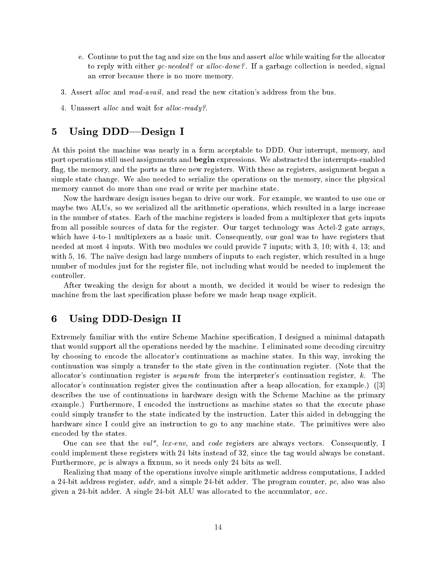- e. Continue to put the tag and size on the bus and assert *alloc* while waiting for the allocator to reply with either  $gc-needed$ ? or alloc-done?. If a garbage collection is needed, signal an error because there is no more memory.
- 3. Assert *alloc* and *read-avail*, and read the new citation's address from the bus.
- 4. Unassert alloc and wait for alloc-ready?.

## 5 Using DDD—Design I

At this point the machine was nearly in a form acceptable to DDD. Our interrupt, memory, and port operations still used assignments and begin expressions. We abstracted the interrupts-enabled flag, the memory, and the ports as three new registers. With these as registers, assignment began a simple state change. We also needed to serialize the operations on the memory, since the physical memory cannot do more than one read or write per machine state.

Now the hardware design issues began to drive our work. For example, we wanted to use one or maybe two ALUs, so we serialized all the arithmetic operations, which resulted in a large increase in the number of states. Each of the machine registers is loaded from a multiplexer that gets inputs from all possible sources of data for the register. Our target technology was Actel-2 gate arrays, which have 4-to-1 multiplexers as a basic unit. Consequently, our goal was to have registers that needed at most 4 inputs. With two modules we could provide 7 inputs; with 3, 10; with 4, 13; and with 5, 16. The naïve design had large numbers of inputs to each register, which resulted in a huge number of modules just for the register file, not including what would be needed to implement the controller.

After tweaking the design for about a month, we decided it would be wiser to redesign the machine from the last specification phase before we made heap usage explicit.

#### 6 6 Using DDD-Design II

Extremely familiar with the entire Scheme Machine specification, I designed a minimal datapath that would support all the operations needed by the machine. I eliminated some decoding circuitry by choosing to encode the allocator's continuations as machine states. In this way, invoking the continuation was simply a transfer to the state given in the continuation register. (Note that the allocator's continuation register is separate from the interpreter's continuation register, k. The allocator's continuation register gives the continuation after a heap allocation, for example.) ([3] describes the use of continuations in hardware design with the Scheme Machine as the primary example.) Furthermore, I encoded the instructions as machine states so that the execute phase could simply transfer to the state indicated by the instruction. Later this aided in debugging the hardware since I could give an instruction to go to any machine state. The primitives were also encoded by the states.

One can see that the val<sup>\*</sup>, lex-env, and code registers are always vectors. Consequently, I could implement these registers with 24 bits instead of 32, since the tag would always be constant. Furthermore,  $pc$  is always a fixnum, so it needs only 24 bits as well.

Realizing that many of the operations involve simple arithmetic address computations, I added a 24-bit address register,  $addr$ , and a simple 24-bit adder. The program counter, pc, also was also given a 24-bit adder. A single 24-bit ALU was allocated to the accumulator, acc.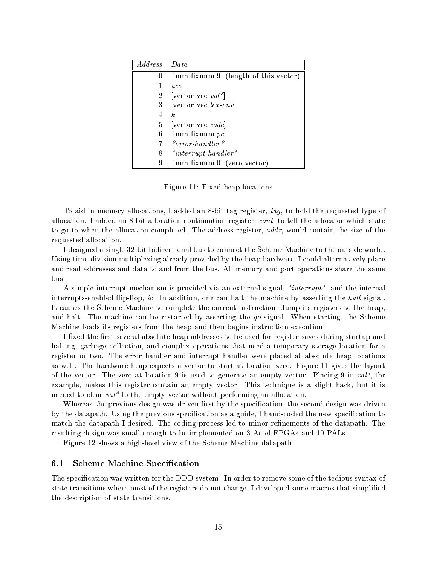| <i>Address</i> | Data                                       |
|----------------|--------------------------------------------|
|                | [imm fixnum 9] (length of this vector)     |
|                | acc                                        |
| 2              | vector vec $val^*$                         |
| 3              | $ vector\vec{v}$ ex-env                    |
| 4              | k.                                         |
| 5              | vector vec code                            |
| 6              | $\left[\text{imm}~\text{fixnum}~pc\right]$ |
|                | $*error\ -\$                               |
| 8              | $*$ <i>interrupt-handler</i> *             |
|                | [imm fixnum 0] (zero vector)               |

Figure 11: Fixed heap locations

To aid in memory allocations, I added an 8-bit tag register, tag, to hold the requested type of allocation. I added an 8-bit allocation continuation register, cont, to tell the allocator which state to go to when the allocation completed. The address register, *addr*, would contain the size of the requested allocation.

I designed a single 32-bit bidirectional bus to connect the Scheme Machine to the outside world. Using time-division multiplexing already provided by the heap hardware, I could alternatively place and read addresses and data to and from the bus. All memory and port operations share the same bus.

A simple interrupt mechanism is provided via an external signal,  $*interrupt*,$  and the internal interrupts-enabled flip-flop, *ie.* In addition, one can halt the machine by asserting the halt signal. It causes the Scheme Machine to complete the current instruction, dump its registers to the heap, and halt. The machine can be restarted by asserting the go signal. When starting, the Scheme Machine loads its registers from the heap and then begins instruction execution.

I fixed the first several absolute heap addresses to be used for register saves during startup and halting, garbage collection, and complex operations that need a temporary storage location for a register or two. The error handler and interrupt handler were placed at absolute heap locations as well. The hardware heap expects a vector to start at location zero. Figure 11 gives the layout of the vector. The zero at location 9 is used to generate an empty vector. Placing 9 in  $val^*$ , for example, makes this register contain an empty vector. This technique is a slight hack, but it is needed to clear val\* to the empty vector without performing an allocation.

Whereas the previous design was driven first by the specification, the second design was driven by the datapath. Using the previous specication as a guide, I hand-coded the new specication to match the datapath I desired. The coding process led to minor refinements of the datapath. The resulting design was small enough to be implemented on 3 Actel FPGAs and 10 PALs.

Figure 12 shows a high-level view of the Scheme Machine datapath.

#### 6.1 Scheme Machine Specification

The specification was written for the DDD system. In order to remove some of the tedious syntax of state transitions where most of the registers do not change, I developed some macros that simplied the description of state transitions.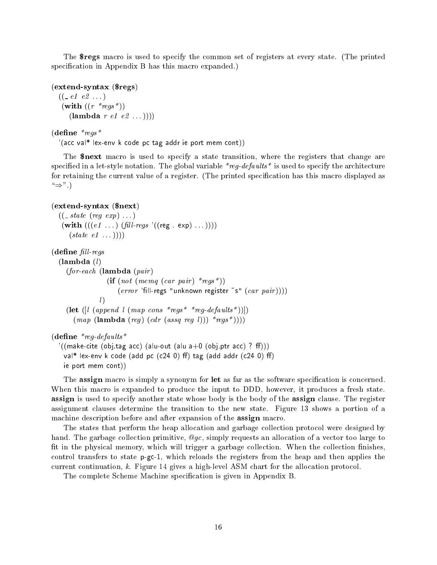The \$regs macro is used to specify the common set of registers at every state. (The printed specification in Appendix B has this macro expanded.)

(extend-syntax (\$regs)  $((\_e1 \; e2 \; ...))$ (with  $((r * \text{reg} s^*))$ )  $(\textbf{lambda } r \text{ } e1 \text{ } e2 \text{ } ... ))$ 

 $(define \n**regs**$ 

 $\gamma$ (acc val\* lex-env k code pc tag addr ie port mem cont))

The \$next macro is used to specify a state transition, where the registers that change are specified in a let-style notation. The global variable  $*reg-defaults*$  is used to specify the architecture for retaining the current value of a register. (The printed specification has this macro displayed as  $\hookrightarrow$ ".)

#### (extend-syntax (\$next)

 $((\_state (reg exp) ...))$  $(\textbf{with } (((e1 \dots) \ (fill\textit{rel} - \textit{regs } '((\text{reg } . \text{ exp} ) \dots))))$  $(state~e1\ldots)))$ 

 $(define$  fill-regs

```
(lambda (l)(for\text{-}each (lambda (\text{pair})(\text{if} (not (memq (car pair) * \text{reg} *)))(error 'fill-regs "unknown register "s" (car pair))))
              l(let ([l (append l (map cons *regs * *reg-defaults*))])(map \; (\text{lambda} \; (reg) \; (cdr \; (assq \; reg \; l))) *regs*)))
```
 $($ define \* $req$ -defaults\*

```
'((make-cite (obj.tag acc) (alu-out (alu a+0 (obj.ptr acc) ? ff)))
 val* lex-env k code (add pc (c24 0) ff) tag (add addr (c24 0) ff)
 ie port mem cont))
```
The **assign** macro is simply a synonym for let as far as the software specification is concerned. When this macro is expanded to produce the input to DDD, however, it produces a fresh state. assign is used to specify another state whose body is the body of the assign clause. The register assignment clauses determine the transition to the new state. Figure 13 shows a portion of a machine description before and after expansion of the assign macro.

The states that perform the heap allocation and garbage collection protocol were designed by hand. The garbage collection primitive,  $\mathcal{Q}_{qc}$ , simply requests an allocation of a vector too large to fit in the physical memory, which will trigger a garbage collection. When the collection finishes, control transfers to state p-gc-1, which reloads the registers from the heap and then applies the current continuation, k. Figure 14 gives a high-level ASM chart for the allocation protocol.

The complete Scheme Machine specification is given in Appendix B.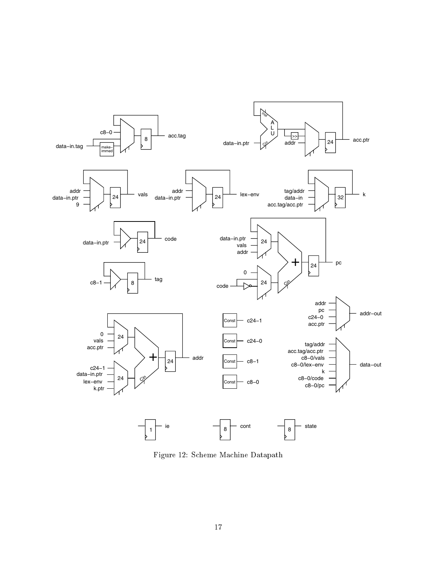

Figure 12: Scheme Machine Datapath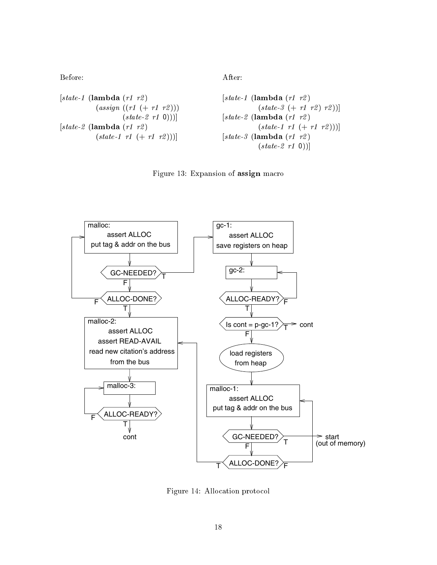| $[state-1 \text{ (lambda (r1 r2))}$  | $[state-1 \text{ (lambda (r1 r2))}$  | $[state-3 (+r1 r2) r2)]$ |
|--------------------------------------|--------------------------------------|--------------------------|
| $[state-2 \text{ (lambda (r1 r2))})$ | $[state-2 \text{ (lambda (r1 r2))}]$ |                          |
| $[state-2 \text{ (lambda (r1 r2))}$  | $[state-2 \text{ (lambda (r1 r2))}$  |                          |
| $[state-1 \text{ r1 (+r1 r2))}]$     | $[state-3 \text{ (lambda (r1 r2))}$  |                          |
| $[state-1 \text{ r1 (+r1 r2))}]$     | $[state-3 \text{ (lambda (r1 r2))}$  |                          |
| $[state-2 \text{ r1 0})]$            | $[state-2 \text{ r1 0})]$            |                          |

Figure 13: Expansion of assign macro



Figure 14: Allocation protocol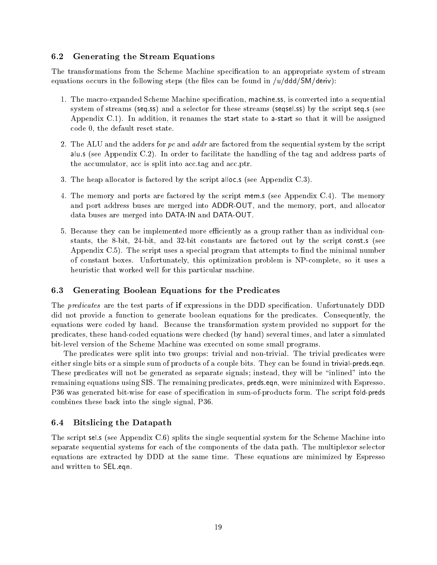## 6.2 Generating the Stream Equations

The transformations from the Scheme Machine specification to an appropriate system of stream equations occurs in the following steps (the files can be found in  $/u/ddd/SM/deriv$ ):

- 1. The macro-expanded Scheme Machine specication, machine.ss, is converted into a sequential system of streams (seq.ss) and a selector for these streams (seqsel.ss) by the script seq.s (see Appendix C.1). In addition, it renames the start state to a-start so that it will be assigned code 0, the default reset state.
- 2. The ALU and the adders for pc and  $addr$  are factored from the sequential system by the script alu.s (see Appendix C.2). In order to facilitate the handling of the tag and address parts of the accumulator, acc is split into acc.tag and acc.ptr.
- 3. The heap allocator is factored by the script alloc.s (see Appendix C.3).
- 4. The memory and ports are factored by the script mem.s (see Appendix C.4). The memory and port address buses are merged into ADDR-OUT, and the memory, port, and allocator data buses are merged into DATA-IN and DATA-OUT.
- 5. Because they can be implemented more efficiently as a group rather than as individual constants, the 8-bit, 24-bit, and 32-bit constants are factored out by the script const.s (see Appendix C.5). The script uses a special program that attempts to find the minimal number of constant boxes. Unfortunately, this optimization problem is NP-complete, so it uses a heuristic that worked well for this particular machine.

## 6.3 Generating Boolean Equations for the Predicates

The *predicates* are the test parts of if expressions in the DDD specification. Unfortunately DDD did not provide a function to generate boolean equations for the predicates. Consequently, the equations were coded by hand. Because the transformation system provided no support for the predicates, these hand-coded equations were checked (by hand) several times, and later a simulated bit-level version of the Scheme Machine was executed on some small programs.

The predicates were split into two groups: trivial and non-trivial. The trivial predicates were either single bits or a simple sum of products of a couple bits. They can be found in trivial-preds.eqn. These predicates will not be generated as separate signals; instead, they will be "inlined" into the remaining equations using SIS. The remaining predicates, preds.eqn, were minimized with Espresso. P36 was generated bit-wise for ease of specification in sum-of-products form. The script fold-preds combines these back into the single signal, P36.

## 6.4 Bitslicing the Datapath

The script sel.s (see Appendix C.6) splits the single sequential system for the Scheme Machine into separate sequential systems for each of the components of the data path. The multiplexor selector equations are extracted by DDD at the same time. These equations are minimized by Espresso and written to SEL.eqn.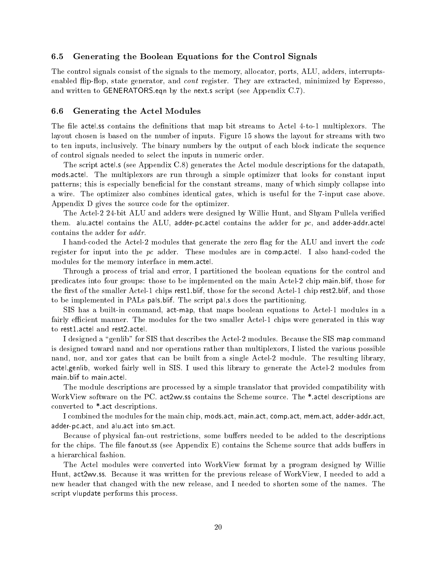### 6.5 Generating the Boolean Equations for the Control Signals

The control signals consist of the signals to the memory, allocator, ports, ALU, adders, interruptsenabled flip-flop, state generator, and *cont* register. They are extracted, minimized by Espresso, and written to GENERATORS.eqn by the next.s script (see Appendix C.7).

#### $6.6$ 6.6 Generating the Actel Modules

The file actel is contains the definitions that map bit streams to Actel 4-to-1 multiplexors. The layout chosen is based on the number of inputs. Figure 15 shows the layout for streams with two to ten inputs, inclusively. The binary numbers by the output of each block indicate the sequence of control signals needed to select the inputs in numeric order.

The script actel.s (see Appendix C.8) generates the Actel module descriptions for the datapath, mods.actel. The multiplexors are run through a simple optimizer that looks for constant input patterns; this is especially beneficial for the constant streams, many of which simply collapse into a wire. The optimizer also combines identical gates, which is useful for the 7-input case above. Appendix D gives the source code for the optimizer.

The Actel-2 24-bit ALU and adders were designed by Willie Hunt, and Shyam Pullela veried them. alu.actel contains the ALU, adder-pc.actel contains the adder for  $pc$ , and adder-addr.actel contains the adder for addr.

I hand-coded the Actel-2 modules that generate the zero flag for the ALU and invert the code register for input into the  $pc$  adder. These modules are in comp.actel. I also hand-coded the modules for the memory interface in mem.actel.

Through a process of trial and error, I partitioned the boolean equations for the control and predicates into four groups: those to be implemented on the main Actel-2 chip main.blif, those for the first of the smaller Actel-1 chips rest1.blif, those for the second Actel-1 chip rest2.blif, and those to be implemented in PALs pals.blif. The script pal.s does the partitioning.

SIS has a built-in command, act-map, that maps boolean equations to Actel-1 modules in a fairly efficient manner. The modules for the two smaller Actel-1 chips were generated in this way to rest1.actel and rest2.actel.

I designed a "genlib" for SIS that describes the Actel-2 modules. Because the SIS map command is designed toward nand and nor operations rather than multiplexors, I listed the various possible nand, nor, and xor gates that can be built from a single Actel-2 module. The resulting library, actel.genlib, worked fairly well in SIS. I used this library to generate the Actel-2 modules from main.blif to main.actel.

The module descriptions are processed by a simple translator that provided compatibility with WorkView software on the PC. act2wv.ss contains the Scheme source. The \*.actel descriptions are converted to \*.act descriptions.

I combined the modules for the main chip, mods.act, main.act, comp.act, mem.act, adder-addr.act, adder-pc.act, and alu.act into sm.act.

Because of physical fan-out restrictions, some buffers needed to be added to the descriptions for the chips. The file fanout is (see Appendix  $E$ ) contains the Scheme source that adds buffers in a hierarchical fashion.

The Actel modules were converted into WorkView format by a program designed by Willie Hunt, act2wv.ss. Because it was written for the previous release of WorkView, I needed to add a new header that changed with the new release, and I needed to shorten some of the names. The script vlupdate performs this process.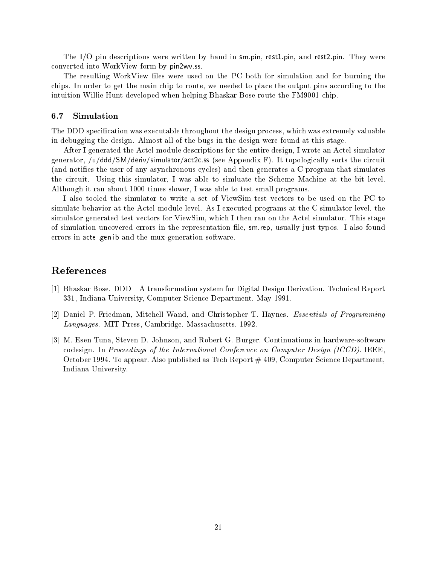The I/O pin descriptions were written by hand in sm.pin, rest1.pin, and rest2.pin. They were converted into WorkView form by pin2wv.ss.

The resulting WorkView files were used on the PC both for simulation and for burning the chips. In order to get the main chip to route, we needed to place the output pins according to the intuition Willie Hunt developed when helping Bhaskar Bose route the FM9001 chip.

### 6.7 Simulation

The DDD specication was executable throughout the design process, which was extremely valuable in debugging the design. Almost all of the bugs in the design were found at this stage.

After I generated the Actel module descriptions for the entire design, I wrote an Actel simulator generator, /u/ddd/SM/deriv/simulator/act2c.ss (see Appendix F). It topologically sorts the circuit (and noties the user of any asynchronous cycles) and then generates a C program that simulates the circuit. Using this simulator, I was able to simluate the Scheme Machine at the bit level. Although it ran about 1000 times slower, I was able to test small programs.

I also tooled the simulator to write a set of ViewSim test vectors to be used on the PC to simulate behavior at the Actel module level. As I executed programs at the C simulator level, the simulator generated test vectors for ViewSim, which I then ran on the Actel simulator. This stage of simulation uncovered errors in the representation file, sm.rep, usually just typos. I also found errors in actel.genlib and the mux-generation software.

### References

- [1] Bhaskar Bose. DDD—A transformation system for Digital Design Derivation. Technical Report 331, Indiana University, Computer Science Department, May 1991.
- [2] Daniel P. Friedman, Mitchell Wand, and Christopher T. Haynes. Essentials of Programming Languages. MIT Press, Cambridge, Massachusetts, 1992.
- [3] M. Esen Tuna, Steven D. Johnson, and Robert G. Burger. Continuations in hardware-software codesign. In Proceedings of the International Conference on Computer Design (ICCD). IEEE, October 1994. To appear. Also published as Tech Report # 409, Computer Science Department, Indiana University.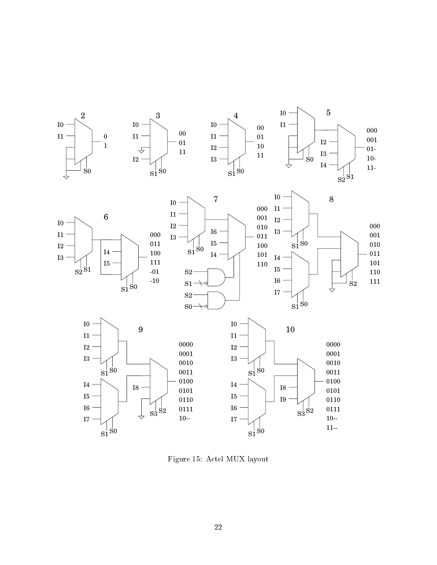

Figure 15: Actel MUX layout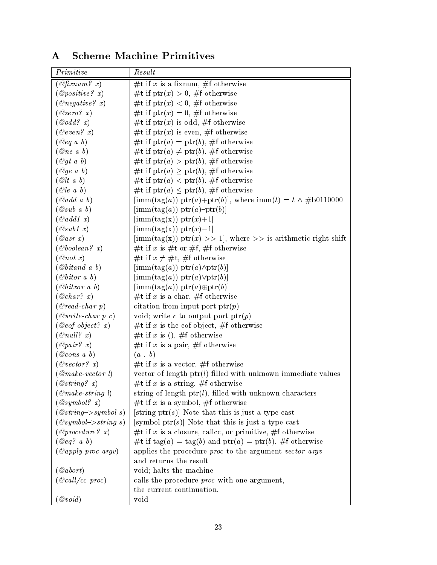# A Scheme Machine Primitives

| Primitive                                | Result                                                                                                  |
|------------------------------------------|---------------------------------------------------------------------------------------------------------|
| $\mathcal{Q}$ fixnum? x)                 | #t if x is a fixnum, #f otherwise                                                                       |
| @positive? x)                            | #t if $ptr(x) > 0$ , #f otherwise                                                                       |
| @negative? x)                            | #t if ptr(x) < 0, #f otherwise                                                                          |
| @zero? x)                                | #t if ptr(x) = 0, #f otherwise                                                                          |
| $\mathcal{Q}odd\,?$ x)                   | #t if $ptr(x)$ is odd, #f otherwise                                                                     |
| $\emptyset even$ ? x)                    | #t if ptr(x) is even, #f otherwise                                                                      |
| $(\log a \; b)$                          | #t if ptr(a) = ptr(b), #f otherwise                                                                     |
| $@ne\ a\ b)$                             | #t if ptr(a) $\neq$ ptr(b), #f otherwise                                                                |
| $\omega_{gt}$ a b)                       | #t if $ptr(a) >ptr(b)$ , #f otherwise                                                                   |
| Qge a b)                                 | #t if ptr(a) $\geq$ ptr(b), #f otherwise                                                                |
| @lt a b)                                 | #t if ptr(a) < ptr(b), #f otherwise                                                                     |
| @le a b)                                 | #t if ptr(a) $\leq$ ptr(b), #f otherwise                                                                |
| $\mathcal{Q} add\ a\ b)$                 | $[\text{imm}(\text{tag}(a)) \text{ptr}(a) + \text{ptr}(b)],$ where $\text{imm}(t) = t \wedge #b0110000$ |
| Qsub a b                                 | $[\text{imm}(\text{tag}(a)) \text{ptr}(a) - \text{ptr}(b)]$                                             |
| $\mathcal{Q}add1\;x)$                    | $[\text{imm}(\text{tag}(x)) \text{ptr}(x)+1]$                                                           |
| @sub1 x)                                 | $[\text{imm}(\text{tag}(x)) \text{ptr}(x)-1]$                                                           |
| $Qasr\ x)$                               | $\left[\text{imm}(\text{tag}(x)) \text{ ptr}(x) >> 1\right]$ , where $\gg$ is arithmetic right shift    |
| @boolean? x)                             | #t if x is #t or #f, #f otherwise                                                                       |
| @not x)                                  | #t if $x \neq \#t$ , #f otherwise                                                                       |
| $\mathcal{Q} \text{bit}$ a $\mathcal{Q}$ | $[\text{imm}(\text{tag}(a)) \text{ptr}(a) \wedge \text{ptr}(b)]$                                        |
| @bitor a b)                              | $[\text{imm}(\text{tag}(a)) \text{ptr}(a) \lor \text{ptr}(b)]$                                          |
| @bitxor a b)                             | $[\text{imm}(\text{tag}(a)) \text{ ptr}(a) \oplus \text{ptr}(b)]$                                       |
| @char? x)                                | #t if x is a char, #f otherwise                                                                         |
| $@read-char$ p)                          | citation from input port $\text{ptr}(p)$                                                                |
| $@write-char\ p\ c)$                     | void; write c to output port $\text{ptr}(p)$                                                            |
| $@eof-object? x)$                        | #t if x is the eof-object, #f otherwise                                                                 |
| $\oslash$ null? x)                       | #t if x is (), #f otherwise                                                                             |
| $\oslash pair? x)$                       | #t if x is a pair, #f otherwise                                                                         |
| $@cons\ a\ b)$                           | (a, b)                                                                                                  |
| $\oslash vector$ ? x)                    | #t if x is a vector, #f otherwise                                                                       |
| $@make-vector 1)$                        | vector of length $ptr(l)$ filled with unknown immediate values                                          |
| @string? x)                              | #t if x is a string, #f otherwise                                                                       |
| $@make\text{-}string\text{ }l)$          | string of length $ptr(l)$ , filled with unknown characters                                              |
| $Qsymbol{?} x$                           | #t if x is a symbol, #f otherwise                                                                       |
| $@string->symbol s)$                     | [string ptr(s)] Note that this is just a type cast                                                      |
| $@symbol\rightarrow string s)$           | [symbol ptr $(s)$ ] Note that this is just a type cast                                                  |
| @procedure? x)                           | #t if x is a closure, callce, or primitive, #f otherwise                                                |
| $\lbrack \omega_{eq}$ ? a b)             | #t if $\text{tag}(a) = \text{tag}(b)$ and $\text{ptr}(a) = \text{ptr}(b)$ , #f otherwise                |
| $(a \napply\ proc\ argv)$                | applies the procedure proc to the argument vector argv                                                  |
|                                          | and returns the result                                                                                  |
| $\left(\mathcal{Q}\textit{abort}\right)$ | void; halts the machine                                                                                 |
| $(\text{ }@call/cc$ proc)                | calls the procedure <i>proc</i> with one argument,                                                      |
|                                          | the current continuation.                                                                               |
| $\textcircled{ } void$                   | void                                                                                                    |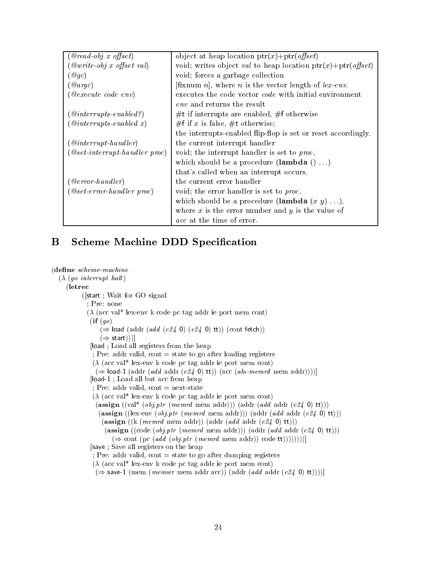| $Qread-obj \ x \ offset)$                                | object at heap location $ptr(x)+ptr(offset)$                                |
|----------------------------------------------------------|-----------------------------------------------------------------------------|
| $\langle$ @write-obj x offset val)                       | void; writes object val to heap location $ptr(x)+ptr(offset)$               |
| $\left(\right. \mathcal{Q}gc\right)$                     | void; forces a garbage collection                                           |
| $\langle \mathit{Qargc}\rangle$                          | [fixnum <i>n</i> ], where <i>n</i> is the vector length of <i>lex-env</i> . |
| $\it(@execute~code~env)$                                 | executes the code vector <i>code</i> with initial environment               |
|                                                          | env and returns the result                                                  |
| $\left(\right. @intervals\text{-}enabled\text{?}\right)$ | $#t$ if interrupts are enabled, $#f$ otherwise                              |
| $\left(\mathcal{Q}$ <i>interrupts-enabled</i> x)         | #f if x is false, #t otherwise;                                             |
|                                                          | the interrupts-enabled flip-flop is set or reset accordingly.               |
| $\left(\> @interry t\text{-} handle r\right)$            | the current interrupt handler                                               |
| $(Qset\text{-}interrupt\text{-}handler\text{-}proc)$     | void; the interrupt handler is set to proc,                                 |
|                                                          | which should be a procedure (lambda $() )$                                  |
|                                                          | that's called when an interrupt occurs.                                     |
| $(\,\mathcal{Q}\,error\text{-}handler)$                  | the current error handler                                                   |
| $(Qset-error-handler\ proc)$                             | void; the error handler is set to proc.                                     |
|                                                          | which should be a procedure (lambda $(x, y) \ldots$ ),                      |
|                                                          | where $x$ is the error number and $y$ is the value of                       |
|                                                          | <i>acc</i> at the time of error.                                            |

## **B** Scheme Machine DDD Specification

```
(define\ scheme-machine(\lambda (go interrupt halt)
     (letrec
          ([start ; Wait for GO signal
            ; Pre: none
            (\lambda (acc val<sup>*</sup> lex-env k code pc tag addr ie port mem cont)
             (ii (go)(\Rightarrow load (addr (add (c24 0) (c24 0) tt)) (cont fetch))
                 (\Rightarrow start)))]
             [load ; Load all registers from the heap
              ; Pre: addr valid, cont = state to go after loading registers
              (\lambda (acc val<sup>*</sup> lex-env k code pc tag addr ie port mem cont)
               (\Rightarrow load-1 (addr (add addr (c24 0) tt)) (acc (alu-memrd mem addr))))]
             [load-1 ; Load all but acc from heap
              ; Pre: addr valid, cont = next-state
              (\lambda (acc val* lex-env k code pc tag addr ie port mem cont)
               (assign ((\text{val}^* (obj.ptr (memrd mem addr))) (addr (add addr (c24 0) tt)))(assign ((lex-env (obj.ptr (memrd mem addr))) (addr (add addr (c24 0) tt)))
                 (\text{assign } ((k \ (memrd \ mem addr)) \ (addr \ (add \ addr \ (c24 \ 0) \ tt))))(assign ((code (obj.ptr (memrd mem addr))) (addr (add addr (c24 0) tt)))
                     (\Rightarrow cont (pc (add (obj.ptr (memrd mem addr)) code tt))))))))]
             [save ; Save all registers on the heap
              ; Pre: addr valid, cont = state to go after dumping registers
              (\lambda (acc val<sup>*</sup> lex-env k code pc tag addr ie port mem cont)
               (\Rightarrow save-1 (mem (memwr mem addr acc)) (addr (add addr (c24 0) tt))))]
```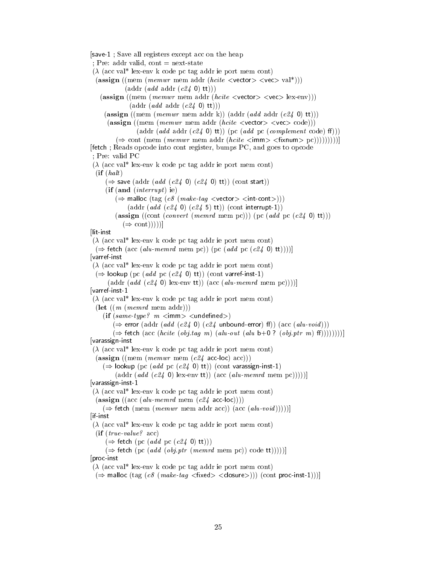[save-1 ; Save all registers except acc on the heap

; Pre: addr valid, cont  $=$  next-state

 $(\lambda$  (acc val<sup>\*</sup> lex-env k code pc tag addr ie port mem cont)

$$
(\text{assign } ((\text{mem } (memwr \text{ mem addr } (hcite < vector) < vec) val*)))
$$
\n
$$
(\text{addr } (addr \text{ (add r } (c24 \text{ 0) tt)))
$$

(assign ((mem (*memwr* mem addr (*hcite* <vector> <vec> lex-env)))  $(\text{addr} (add \text{addr} (c24 \text{ 0}) \text{ tt})))$ 

(assign ((mem (memwr mem addr k)) (addr (add addr  $(c24 0)$  tt)))

 $(\text{assign } ((\text{mem } (memwr \text{ mem addr } (hcite \le vector) \levec) )$ 

(addr  $(\text{add } \text{addr } (\text{c24 } 0) \text{ tt}))$  (pc  $(\text{add } \text{pc } (\text{complement code}) \text{ ff}))$ )

 $(\Rightarrow$  cont (mem (memwr mem addr (hcite  $\leq$ imm $\geq$   $\leq$ fixnum $\geq$  pc)))))))))]

[fetch ; Reads opcode into cont register, bumps PC, and goes to opcode

; Pre: valid PC

 $(\lambda$  (acc val<sup>\*</sup> lex-env k code pc tag addr ie port mem cont)  $(i\mathbf{f}$   $(halt)$ 

 $(\Rightarrow$  save (addr (add (c24 0) (c24 0) tt)) (cont start))

 $(i\mathbf{f}(\mathbf{and}(\text{interrupt})\mathbf{ie}))$ 

 $(\Rightarrow$  malloc  $(tag (c8 (make-tag vector>1)$ )

 $(\text{addr} (add (c24 0) (c24 5) \text{ tt})) (\text{cont interrupt-1}))$ 

(assign ((cont (*convert* (*memrd* mem pc))) (pc (*add* pc ( $c24$  0) tt)))  $(\Rightarrow \text{cont}))$ 

llit-inst

[lit-inst  $(\lambda$  (acc val<sup>\*</sup> lex-env k code pc tag addr ie port mem cont)  $(\Rightarrow$  fetch (acc (alu-memrd mem pc)) (pc (add pc (c24 0) tt))))] [varref-inst  $(\lambda$  (acc val\* lex-env k code pc tag addr ie port mem cont)  $(\Rightarrow$  lookup (pc (add pc (c24 0) tt)) (cont varref-inst-1) (addr  $(add (c24 0)$  lex-env tt)) (acc  $(alu\text{-}memrd$  mem pc))))] [varref-inst-1  $(\lambda$  (acc val<sup>\*</sup> lex-env k code pc tag addr ie port mem cont)  $(\text{let } ((m \ (memr d \text{ mem } addr)))$ (if  $(same-type?$  m  $\lt$  imm $>$   $\lt$ undefined $>$ )  $(\Rightarrow$  error (addr (add (c24 0) (c24 unbound-error) ff)) (acc (alu-void)))  $(\Rightarrow$  fetch (acc (hcite (obj.tag m) (alu-out (alu b+0 ? (obj.ptr m) ff))))))))] [varassign-inst  $(\lambda$  (acc val<sup>\*</sup> lex-env k code pc tag addr ie port mem cont)  $(\text{assign } ((\text{mem } (memwr \text{ mem } (c24 \text{ acc-loc}) \text{ acc})))$  $(\Rightarrow$  lookup (pc (add pc (c24 0) tt)) (cont varassign-inst-1) (addr  $(\text{add } (c24 0)$  lex-env tt))  $(\text{acc } (\text{alu-} \text{mem } \text{pc}))))$ [varassign-inst-1  $(\lambda$  (acc val<sup>\*</sup> lex-env k code pc tag addr ie port mem cont)  $(\text{assign } ((\text{acc } (alu\text{-}memrd \text{ mem } (c24 \text{ acc-loc}))))$  $(\Rightarrow$  fetch (mem (*memwr* mem addr acc)) (acc (*alu-void*)))))] [if-inst  $(\lambda$  (acc val<sup>\*</sup> lex-env k code pc tag addr ie port mem cont)

(if (true-value? acc)

 $(\Rightarrow$  fetch (pc (add pc (c24 0) tt)))

 $(\Rightarrow$  fetch (pc (add (obj.ptr (memrd mem pc)) code tt))))]] [proc-inst

 $(\lambda$  (acc val<sup>\*</sup> lex-env k code pc tag addr ie port mem cont)

 $(\Rightarrow$  malloc (tag (c8 (make-tag <fixed> <closure>))) (cont proc-inst-1)))]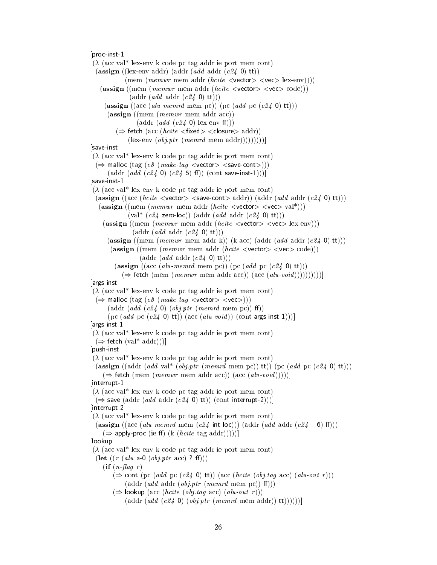[proc-inst-1

 $(\lambda$  (acc val<sup>\*</sup> lex-env k code pc tag addr ie port mem cont) (assign ((lex-env addr) (addr  $(add \ addr \ (c24 \ 0) \ tt)$ ) (mem (memwr mem addr (hcite  $\langle$ vector $\rangle$   $\langle$ vec $\rangle$  lex-env)))) (assign ((mem (*memwr* mem addr (*hcite*  $\langle$ vector $\rangle$   $\langle$ vec $\rangle$  code)))  $(\text{addr} (add \text{addr} (c24 0) \text{ tt})))$ ( $\text{assign} ((\text{acc} ( \text{alu} \text{-} \text{mem} \text{r} \text{d} \text{men} \text{pc})))$  ( $\text{pc} (\text{add} \text{pc} (\text{c24 0} \text{t})))$ ) (assign ((mem (memwr mem addr acc))  $(\text{addr} (add (c24 0) \text{lex-env ff})))$  $(\Rightarrow$  fetch (acc (*hcite*  $\langle$  fixed $\rangle$   $\langle$  closure $\rangle$  addr))  $(\text{lex-env} (obj.ptr (memrd mem addr))))))$ [save-inst  $(\lambda$  (acc val<sup>\*</sup> lex-env k code pc tag addr ie port mem cont)  $(\Rightarrow$  malloc  $(tag (c8 (make-tag vector> )))$  $(\text{addr} (add (c24 0) (c24 5) \text{ ff})) (\text{cont save-inst-1})))$ [save-inst-1  $(\lambda$  (acc val<sup>\*</sup> lex-env k code pc tag addr ie port mem cont) (assign ((acc (hcite  $\langle$ vector $\rangle$   $\langle$ save-cont $\rangle$  addr)) (addr (add addr (c24 0) tt))) (assign ((mem (*memwr* mem addr (*hcite*  $\langle$ vector $\rangle$   $\langle$ vec $\rangle$  val<sup>\*</sup>)))  $\text{(val* } (c24 \text{ zero-loc})) \text{ (addr } (add \text{addr } (c24 \text{ 0}) \text{ tt)))$ (assign ((mem (memwr mem addr (hcite  $\langle$ vector $\rangle$   $\langle$ vec $\rangle$  lex-env)))  $(\text{addr} (add \text{addr} (c24 \text{ 0}) \text{ tt})))$ (assign ((mem (memwr mem addr k)) (k acc) (addr  $(add \, addr \, (c24 \, 0) \, \text{tt}))$ ) (assign ((mem (*memwr* mem addr (*hcite*  $\langle$ vector $\rangle$   $\langle$ vec $\rangle$  code)))  $(\text{addr} (add \text{addr} (c24 0) \text{ tt})))$ (assign ((acc (alu-memrd mem pc)) (pc (add pc (c24 0) tt)))  $(\Rightarrow$  fetch (mem (memwr mem addr acc)) (acc (alu-void))))))))))] [args-inst  $(\lambda$  (acc val<sup>\*</sup> lex-env k code pc tag addr ie port mem cont)  $(\Rightarrow$  malloc (tag (c8 (make-tag <vector> <vec>)))  $(\text{addr} (add (c24 0) (obj.ptr (memrd mem pc)) ff))$ (pc  $(\text{add pc}(c24 0) \text{tt})) (\text{acc}(alu-void)) (\text{cont args-inst-1})).$ [args-inst-1  $(\lambda$  (acc val<sup>\*</sup> lex-env k code pc tag addr ie port mem cont)  $(\Rightarrow$  fetch  $(\text{val}^* \text{addr})))$ [push-inst  $(\lambda$  (acc val<sup>\*</sup> lex-env k code pc tag addr ie port mem cont) (assign ((addr (add val\* (obj.ptr (memrd mem pc)) tt)) (pc (add pc (c24 0) tt)))  $(\Rightarrow$  fetch (mem (*memwr* mem addr acc)) (acc (*alu-void*)))))] [interrupt-1  $(\lambda$  (acc val<sup>\*</sup> lex-env k code pc tag addr ie port mem cont)  $(\Rightarrow$  save (addr (add addr (c24 0) tt)) (cont interrupt-2)))] [interrupt-2  $(\lambda$  (acc val<sup>\*</sup> lex-env k code pc tag addr ie port mem cont) (assign ((acc (alu-memrd mem (c24 int-loc))) (addr (add addr (c24 -6) f()))  $(\Rightarrow$  apply-proc (ie ff) (k (*hcite* tag addr)))))] [lookup  $(\lambda$  (acc val\* lex-env k code pc tag addr ie port mem cont) (let  $((r (alu a-0 (obj. ptr acc) ? ff)))$  $(if (n$ -flag r)  $(\Rightarrow$  cont (pc (add pc (c24 0) tt)) (acc (hcite (obj.tag acc) (alu-out r)))  $(\text{addr} (add \text{addr} (obij \text{ptr} (memrd \text{mem pc})) \text{ff})))$  $(\Rightarrow$  lookup (acc (hcite (obj.tag acc) (alu-out r)))  $(\text{addr} \, (add \, (c24 \, 0) \, (obj.ptr \, (memrd \, mem \, addr)) \, (t))))$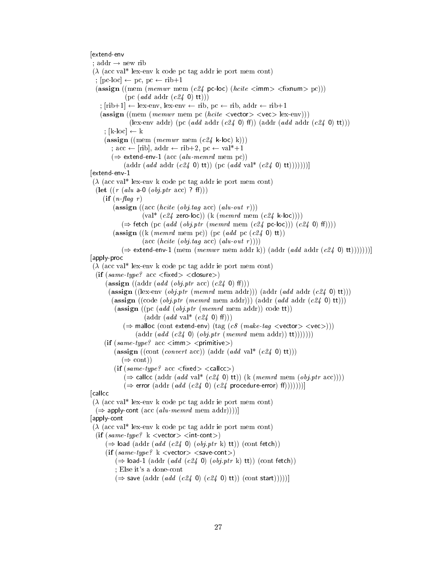#### [extend-env

; addr  $\rightarrow$  new rib  $(\lambda$  (acc val<sup>\*</sup> lex-env k code pc tag addr ie port mem cont) ;  $[pc-loc] \leftarrow pc$ ,  $pc \leftarrow rib+1$  $(\text{assign } ((\text{mem } (mem \text{rem } c24 \text{ pc-loc}) (hcite *simm* > *fixnum* > pc)))$  $(pc (add add r (c24 0) tt))$ ;  $[rib+1] \leftarrow lex-env$ , lex-env  $\leftarrow rib$ , pc  $\leftarrow rib$ , addr  $\leftarrow rib+1$ (assign ((mem (*memwr* mem pc (*hcite* <vector> <vec> lex-env))) (lex-env addr) (pc (add addr (c24 0) ff)) (addr (add addr (c24 0) tt))) :  $[k-loc] \leftarrow k$  $(\text{assign } ((\text{mem } (memwr \text{ mem } (c24 \text{ k-loc}) \text{ k})))$ ; acc  $\leftarrow$  [rib], addr  $\leftarrow$  rib+2, pc  $\leftarrow$  val<sup>\*</sup>+1  $(\Rightarrow$  extend-env-1 (acc (alu-memrd mem pc)) (addr  $(add \cdot add \cdot (c24 \cdot 0) \cdot tt))$  (pc  $(add \cdot val^* (c24 \cdot 0) \cdot tt))))$ ))) [extend-env-1  $(\lambda$  (acc val<sup>\*</sup> lex-env k code pc tag addr ie port mem cont) (let  $((r (alu a-0 (obj *ptr* acc) ? ff)))$  $(if (n$  *flag*  $r)$  $(\text{assign } ((\text{acc } (hcite (obj tag acc) (alu-out r)))$  $\text{(val* } (c24 \text{ zero-loc})) \text{ (k } (memrd \text{ mem } (c24 \text{ k-loc}))))$  $(\Rightarrow$  fetch (pc (add (obj.ptr (memrd mem (c24 pc-loc))) (c24 0) ff)))) (assign ((k (memrd mem pc)) (pc (add pc (c24 0) tt))  $(\text{acc}(\textit{heite}(\textit{obj}.tag \textit{acc}(\textit{alu-out }r))))$  $(\Rightarrow$  extend-env-1 (mem (memwr mem addr k)) (addr (add addr (c24 0) tt)))))))] [apply-proc  $(\lambda$  (acc val<sup>\*</sup> lex-env k code pc tag addr ie port mem cont)  $(if(same-type? \; acc < fixed) < closure)$ (assign ((addr (add (obj.ptr acc)  $(c24 0)$  ff))) (assign ((lex-env (*obj.ptr* (*memrd* mem addr))) (addr (*add* addr (*c24* 0) tt))) (assign ((code  $(obj.ptr$  (memrd mem addr))) (addr  $(add$  addr  $(c24 0)$  tt))) (assign ((pc (*add* (*obj.ptr* (*memrd* mem addr)) code tt))  $(\text{addr} (add val^*(c24 0) \text{ ff})))$  $(\Rightarrow$  malloc (cont extend-env) (tag (c8 (make-tag <vector> <vec>)))  $(\text{addr} (add (c24 0) (obj.ptr (memrd mem addr)) tt))))))$ (if  $(same-type? \text{ acc} \leq mm$ )  $\leq$ primitive $>$ ) (assign ((cont (convert acc)) (addr (add val\* (c24 0) tt)))  $(\Rightarrow$  cont)) (if  $(same-type? \text{ acc } <$ fixed $>$  < callcc $>$ )  $(\Rightarrow$  callcc (addr (add val\* (c24 0) tt)) (k (memrd mem (obj.ptr acc))))  $(\Rightarrow$  error (addr (add (c24 0) (c24 procedure-error) f(f)))))))] [callcc  $(\lambda$  (acc val\* lex-env k code pc tag addr ie port mem cont)  $(\Rightarrow$  apply-cont (acc (alu-memrd mem addr)))] [apply-cont  $(\lambda$  (acc val<sup>\*</sup> lex-env k code pc tag addr ie port mem cont) (if  $(same-type? \, k \le$ vector>  $\le$ int-cont>)  $(\Rightarrow$  load (addr (add (c24 0) (obj.ptr k) tt)) (cont fetch)) (if  $(same-type? \, k < vector > < save-cont)$ )  $(\Rightarrow$  load-1 (addr (add (c24 0) (obj.ptr k) tt)) (cont fetch)) ; Else it's a done-cont

 $(\Rightarrow$  save (addr (add (c24 0) (c24 0) tt)) (cont start))))]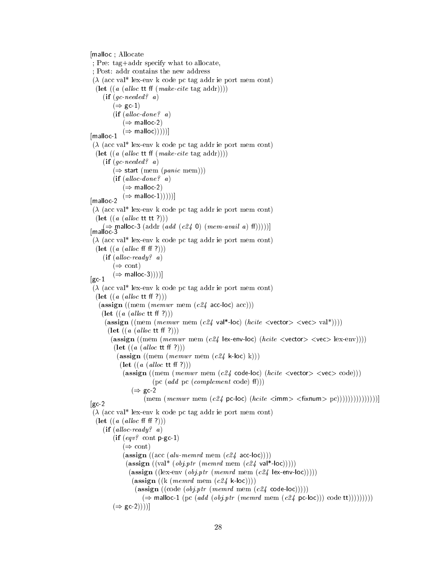[malloc ; Allocate ; Pre: tag+addr specify what to allocate, ; Post: addr contains the new address  $(\lambda$  (acc val<sup>\*</sup> lex-env k code pc tag addr ie port mem cont) (let  $((a (alloc \t{t} f (make\text{-}cite tag addr))))$ )  $(if (gc-needed? a)$  $(\Rightarrow \text{gc-1})$  $(if (alloc-done? a)$  $(\Rightarrow$  malloc-2)  $(\Rightarrow$  malloc)))))] [malloc-1  $(\lambda$  (acc val<sup>\*</sup> lex-env k code pc tag addr ie port mem cont) (let  $((a (alloc \t{t} f(make\text{-}cite tag addr))))$ )  $(if (gc-needed? a)$  $(\Rightarrow$  start (mem (panic mem)))  $(if (alloc-done? a)$  $(\Rightarrow$  malloc-2)  $(\Rightarrow$  malloc-1)))))] [malloc-2  $(\lambda$  (acc val<sup>\*</sup> lex-env k code pc tag addr ie port mem cont)  $[\Rightarrow]$ <br>
[malloc-3 malloc-3 (addr (add (c24 0) (mem-avail a) f(f)))))]  $(\lambda$  (acc val\* lex-env k code pc tag addr ie port mem cont)  $(\text{let } ((a (alloc \text{ff } f))))$  $(if (alloc-ready? a)$  $(\Rightarrow$  cont)  $(\Rightarrow$  malloc-3))))]  $\left[\text{gc-1}\right]$  $(\lambda$  (acc val<sup>\*</sup> lex-env k code pc tag addr ie port mem cont)  $(\text{let } ((a (alloc \text{ ttf } ?)))$  $(\text{assign } ((\text{mem } (memwr \text{ mem } (c24 \text{ acc-loc}) \text{ acc})))$  $(\text{let } ((a (alloc \text{ ttff } ?))))$ (assign ((mem (memwr mem (c24 val\*-loc) (hcite  $\langle$ vector $\rangle$   $\langle$ vec $\rangle$  val\*))))  $(\text{let } ((a (alloc \text{ ttf } ?)))$ (assign ((mem (*memwr* mem (*c24* lex-env-loc) (*hcite*  $\langle$ vector $\rangle$   $\langle$ vec $\rangle$  lex-env))))  $(\text{let } ((a (alloc \text{ ttf } ?)))$ (assign ((mem (*memwr* mem  $(c24 \text{ k-loc})$ )))  $(\text{let } ((a (alloc \text{ ttf } ?))))$ (assign ((mem (memwr mem (c24 code-loc) (hcite  $\langle$ vector $\rangle$   $\langle$ vec $\rangle$  code)))  $(pc (add pc (complement code) ff))$  $(\Rightarrow$  gc-2  $(\text{mem } (memwr \text{ mem } (c24 \text{ pc-loc}) (hcite *simm* > *fixnum* > pc)))))))))))))))$  $\left[\text{gc-2}\right]$  $(\lambda$  (acc val<sup>\*</sup> lex-env k code pc tag addr ie port mem cont)  $(\text{let } ((a (alloc \text{ff } f))))$  $(if (alloc\text{-}ready? a)$  $(if (eqv? \text{ cont } p\text{-gc-1})$  $(\Rightarrow$  cont) (assign  $((\text{acc } (alu\text{-}mem\text{-}rd \text{-}mem (c24 \text{-}acc\text{-}loc))))$ (assign  $((\text{val}^* (obj. ptr (memrd mem (c24 val*-loc))))))$  $(\text{assign } ((lex-env (obj.ptr (memrd mem (c24 lex-env-loc))))))$  $(\text{assign } ((k \ (memrd \ \text{mem } (c24 \ \text{k-loc}))))$ (assign  $((code (obj.ptr (memrd mem (c24 code-loc))))$ )  $(\Rightarrow$  malloc-1 (pc (add (obj.ptr (memrd mem (c24 pc-loc))) code tt))))))))))  $(\Rightarrow$  gc-2))))]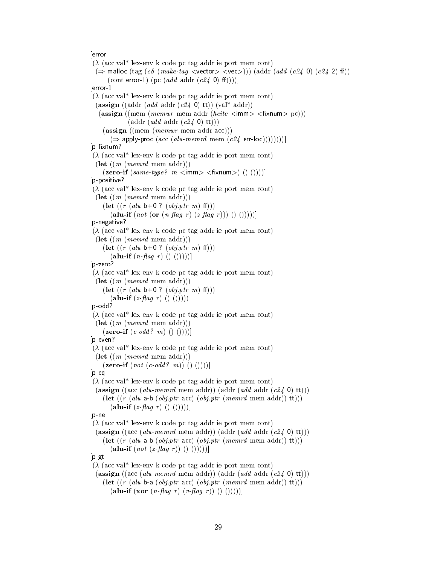#### [error

 $(\lambda$  (acc val<sup>\*</sup> lex-env k code pc tag addr ie port mem cont)  $(\Rightarrow$  malloc (tag (c8 (make-tag <vector> <vec>))) (addr (add (c24 0) (c24 2) ff)) (cont error-1) (pc (add addr (c24 0) ff))))] [error-1  $(\lambda$  (acc val<sup>\*</sup> lex-env k code pc tag addr ie port mem cont) (assign ((addr (add addr (c24 0) tt)) (val\* addr))  $(\text{assign} ((\text{mem} (mem wr \text{ mem} addr (hcite *simm* > *simum* > pc)))$  $(\text{addr} (add \text{addr} (c24 \text{ 0}) \text{ tt})))$  $(\text{assign } ((\text{mem } (memwr \text{ mem addr } acc)))$  $(\Rightarrow$  apply-proc (acc (alu-memrd mem (c24 err-loc))))))))]  $[p-fixnum?$  $(\lambda$  (acc val\* lex-env k code pc tag addr ie port mem cont)  $(\text{let } ((m \ (memr d \text{ mem } addr)))$  $(\text{zero-if} (\text{same-type? } m \leq m) > (\text{fixnum})$  ()()))] [p-positive?  $(\lambda$  (acc val<sup>\*</sup> lex-env k code pc tag addr ie port mem cont)  $(\textbf{let } ((m \ (memr d \text{ mem } addr)))$  $(\text{let } ((r (alu b+0 ? (obj. ptr m) ff)))$  $(\textbf{alu-if} (not (\textbf{or} (n\text{-flag } r) (z\text{-flag } r))))(\text{)}$ [p-negative?  $(\lambda$  (acc val<sup>\*</sup> lex-env k code pc tag addr ie port mem cont)  $(\text{let } ((m \ (memr d \text{ mem } addr)))$  $(\text{let } ((r (alu b+0 ? (obj. ptr m) ff)))$  $(\mathbf{alu\text{-}if} (n\text{-}flag\ r) () ))))$ [p-zero?  $(\lambda$  (acc val<sup>\*</sup> lex-env k code pc tag addr ie port mem cont)  $(\text{let } ((m \ (memr d \text{ mem } addr)))$  $(\text{let } ((r (alu b+0 ? (obj phr m) ff)))$  $(\mathbf{alu\text{-}if }(z\text{-}flag\ r) ( ) ( )))))$ [p-odd?  $(\lambda$  (acc val<sup>\*</sup> lex-env k code pc tag addr ie port mem cont)  $(\text{let } ((m \ (memrd \ \text{mem} \ \text{addr})))$  $(\mathbf{zero}\text{-}\mathbf{if} (c\text{-}odd? \ m) () ))$ [p-even?  $(\lambda$  (acc val<sup>\*</sup> lex-env k code pc tag addr ie port mem cont)  $(\text{let } ((m \ (memr d \text{ mem } addr)))$  $(\textbf{zero-if} (not (c-odd? m)) () ))$ [p-eq  $(\lambda$  (acc val<sup>\*</sup> lex-env k code pc tag addr ie port mem cont) (assign ((acc (alu-memrd mem addr)) (addr (add addr  $(c24 0)$  tt))) (let  $((r (alu a-b (obj.ptr acc) (obj.ptr (memrd mem addr)) tt)))$  $(\mathbf{alu\text{-}if }(z\text{-}flag\ r) ( ) ( )))))$ [p-ne  $(\lambda$  (acc val<sup>\*</sup> lex-env k code pc tag addr ie port mem cont) (assign ((acc (alu-memrd mem addr)) (addr (add addr  $(c24 0)$  tt))) (let  $((r (alu a-b (obj.ptr acc) (obj.ptr (memrd mem addr)) tt)))$  $(\textbf{alu-if} (not (z\text{-}\text{flag } r)) () ))$  $|p-gt|$  $(\lambda$  (acc val<sup>\*</sup> lex-env k code pc tag addr ie port mem cont) (assign ((acc (alu-memrd mem addr)) (addr (add addr  $(c24 0)$  tt))) (let  $((r (alu b-a (obj.ptr acc) (obj.ptr (memrd mem addr)) tt)))$  $(\textbf{alu-if} (\textbf{xor} (n\text{-flag } r) (v\text{-flag } r)) () ))$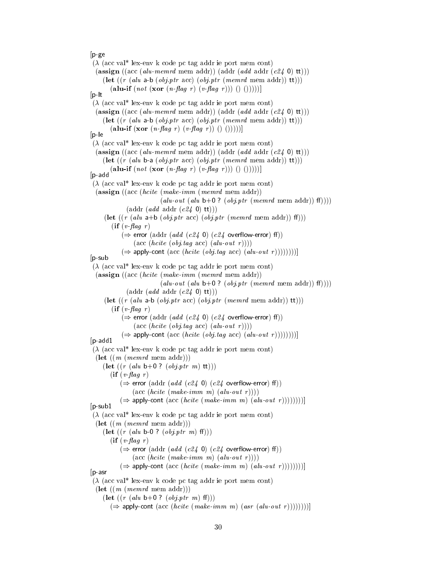#### [p-ge

 $(\lambda$  (acc val<sup>\*</sup> lex-env k code pc tag addr ie port mem cont) (assign  $((\text{acc } (alu\text{-}memrd \text{ mem } \text{addr})) (\text{addr } (add \text{addr } (c24 \text{ 0}) \text{ tt})))$ (let  $((r (alu a-b (obj.ptr acc) (obj.ptr (memrd mem addr)) tt)))$  $(\textbf{alu-if} (not (\textbf{xor} (n-\textit{flag} r) (v-\textit{flag} r))))()$ [p-lt  $(\lambda$  (acc val<sup>\*</sup> lex-env k code pc tag addr ie port mem cont) (assign  $((\text{acc } (alu\text{-}memrd \text{ mem } \text{addr})) (\text{addr } (add \text{addr } (c24 \text{ 0}) \text{ tt})))$ (let  $((r (alu a-b (obj.ptr acc) (obj.ptr (memrd mem addr)) tt)))$ (alu-if  $(xor (n-flag r) (v-flag r)) () ))$  $[p - e]$  $(\lambda$  (acc val<sup>\*</sup> lex-env k code pc tag addr ie port mem cont) (assign ((acc (alu-memrd mem addr)) (addr (add addr  $(c24 0)$  tt))) (let  $((r (alu b-a (obj.ptr acc) (obj.ptr (memrd mem addr)) tt)))$ (alu-if  $(not (xor (n-flag r) (v-flag r))) () ))$ [p-add  $(\lambda$  (acc val<sup>\*</sup> lex-env k code pc tag addr ie port mem cont) (assign ((acc (hcite (make-imm (memrd mem addr))  $(alu\text{-}out (alu b+0 ? (obj. ptr (memrd mem addr)) ff))))$  $(\text{addr} (add \text{addr} (c24 0) \text{ tt})))$ (let  $((r (alu a+b (obj.ptr acc) (obj.ptr (memrd mem addr)) ff)))$  $\left( \text{if} \left( v \text{--} flag \right) r \right)$  $(\Rightarrow$  error (addr (add (c24 0) (c24 overflow-error) ff))  $(\text{acc } (hcite (obj.tag acc) (alu-out r))))$  $(\Rightarrow$  apply-cont (acc (hcite (obj.tag acc) (alu-out r))))))))] [p-sub  $(\lambda$  (acc val<sup>\*</sup> lex-env k code pc tag addr ie port mem cont) (assign ((acc (hcite (make-imm (memrd mem addr))  $(alu\text{-}out (alu b+0 ? (obj. ptr (memrd mem addr)) ff))))$  $(\text{addr} (add \text{addr} (c24 0) \text{ tt})))$ (let  $((r (alu a-b (obj.ptr acc) (obj.ptr (memrd mem addr)) tt)))$  $(if (v - flag r))$  $(\Rightarrow$  error (addr (add (c24 0) (c24 overflow-error) ff))  $(\text{acc}(\textit{hcite}(\textit{obj}.tag \textit{acc}(\textit{alu-out }r))))$  $(\Rightarrow$  apply-cont (acc (*hcite* (*obj.tag* acc) (*alu-out r* ))))))))) [p-add1  $(\lambda$  (acc val<sup>\*</sup> lex-env k code pc tag addr ie port mem cont)  $(\text{let } ((m \ (memrd \ \text{mem} \ \text{addr})))$  $(\textbf{let } ((r (alu b+0 ? (obj. ptr m) tt)))$  $\left( \text{if} \left( v \text{-flag } r \right) \right)$  $(\Rightarrow$  error (addr (add (c24 0) (c24 overflow-error) ff))  $(\text{acc } (hcite (make-imm m) (alu-out r))))$  $(\Rightarrow$  apply-cont (acc (hcite (make-imm m) (alu-out r))))))))] [p-sub1  $(\lambda$  (acc val\* lex-env k code pc tag addr ie port mem cont)  $(\text{let } ((m \ (memr d \text{ mem } addr)))$  $(\text{let } ((r (alu b-0 ? (obj. ptr m) ff)))$  $(if (v \text{-} flag \r)$  $(\Rightarrow$  error (addr (add (c24 0) (c24 overflow-error) ff))  $(\text{acc } (hcite (make-imm m) (alu-out r))))$  $(\Rightarrow$  apply-cont (acc (hcite (make-imm m) (alu-out r))))))))] [p-asr  $(\lambda$  (acc val\* lex-env k code pc tag addr ie port mem cont)  $(\text{let } ((m \ (memr d \text{ mem } addr)))$  $(\text{let } ((r (alu b+0 ? (obj. ptr m) ff)))$  $(\Rightarrow$  apply-cont (acc (hcite (make-imm m) (asr (alu-out r))))))))]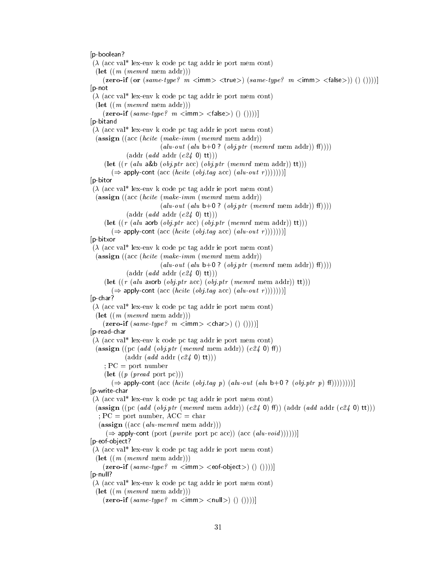[p-boolean?  $(\lambda$  (acc val<sup>\*</sup> lex-env k code pc tag addr ie port mem cont)  $(\text{let } ((m \ (memr d \text{ mem } addr)))$ (zero-if (or  $(same-type? \text{ } m \text{ } < \text{imm}> < \text{true}$ )  $(same-type? \text{ } m \text{ } < \text{imm}> < \text{false}$ )) () ()))) [p-not  $(\lambda$  (acc val<sup>\*</sup> lex-env k code pc tag addr ie port mem cont)  $(\text{let } ((m \ (memr d \text{ mem } addr)))$  $(**zero-if** (same-type?  $m <$   $\langle m \rangle$  <  $\langle false \rangle$  ( ) ( ) ) )$ [p-bitand  $(\lambda$  (acc val<sup>\*</sup> lex-env k code pc tag addr ie port mem cont) (assign ((acc (hcite (make-imm (memrd mem addr))  $(alu\text{-}out (alu b+0 ? (obj. ptr (memrd mem addr)) ff))))$  $(\text{addr} (add \text{addr} (c24 0) \text{ tt})))$ (let  $((r (alu a&b (obj.ptr acc) (obj.ptr (memrd mem addr)) tt)))$  $(\Rightarrow$  apply-cont (acc (hcite (obj.tag acc) (alu-out r)))))))] [p-bitor  $(\lambda$  (acc val<sup>\*</sup> lex-env k code pc tag addr ie port mem cont) (assign ((acc (hcite (make-imm (memrd mem addr))  $(alu\text{-}out (alu b+0 ? (obj. ptr (memrd mem addr)) ff))))$  $(\text{addr} (add \text{addr} (c24 0) \text{ tt})))$ (let  $((r (alu aorb (obj.ptr acc) (obj.ptr (memrd mem addr)) tt)))$  $(\Rightarrow$  apply-cont (acc (hcite (obj.tag acc) (alu-out r)))))))] [p-bitxor  $(\lambda$  (acc val<sup>\*</sup> lex-env k code pc tag addr ie port mem cont) (assign ((acc (hcite (make-imm (memrd mem addr))  $(alu\text{-}out (alu b+0 ? (obj. ptr (memrd mem addr)) ff))))$  $(\text{addr} (add \text{addr} (c24 0) \text{ tt})))$ (let  $((r (alu axorb (obj.ptr acc) (obj.ptr (memrd mem addr)) tt)))$  $(\Rightarrow$  apply-cont (acc (hcite (obj.tag acc) (alu-out r)))))))] [p-char?  $(\lambda$  (acc val<sup>\*</sup> lex-env k code pc tag addr ie port mem cont)  $(\text{let } ((m \ (memr d \text{ mem } addr)))$  $(\text{zero-if} (same-type? \ m \text{ < } m) \text{ < } \text{ < } (n)$  () ())))] [p-read-char  $(\lambda$  (acc val<sup>\*</sup> lex-env k code pc tag addr ie port mem cont) (assign ((pc (add (obj.ptr (memrd mem addr)) (c24 0) ff))  $(\text{addr} (add \text{addr} (c24 0) \text{ tt})))$  $; PC = port number$  $(\text{let } ((p \text{ } (pred \text{ port } pc)))$  $(\Rightarrow$  apply-cont (acc (hcite (obj.tag p) (alu-out (alu b+0 ? (obj.ptr p) ff))))))))] [p-write-char  $(\lambda$  (acc val<sup>\*</sup> lex-env k code pc tag addr ie port mem cont) (assign ((pc (add (obj.ptr (memrd mem addr)) (c24 0) ff)) (addr (add addr (c24 0) tt))) ;  $PC =$  port number,  $ACC = char$  $(\text{assign } ((acc (alu-memrd \text{ mem } addr)))$  $(\Rightarrow$  apply-cont (port (*pwrite* port pc acc)) (acc (*alu-void*))))))] [p-eof-object?  $(\lambda$  (acc val\* lex-env k code pc tag addr ie port mem cont)  $(\textbf{let } ((m \ (memr d \text{ mem } addr)))$  $(\text{zero-if} (same-type? \ m \text{ < } m) \text{ < } \text{cof-object} > (0))$ [p-null?  $(\lambda$  (acc val<sup>\*</sup> lex-env k code pc tag addr ie port mem cont)  $(\text{let } ((m \ (memr d \text{ mem } addr)))$  $(\text{zero-if} (same-type? \ m \text{ < } m) \text{ < } \text{null} > (0.1))$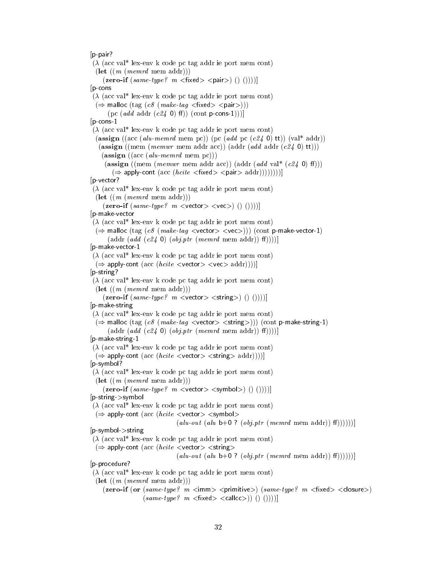[p-pair?

```
(\lambda (acc val<sup>*</sup> lex-env k code pc tag addr ie port mem cont)
 (\text{let } ((m \ (memr d \text{ mem } addr)))(zero-if(same-type? m <fixed> \langle pair \rangle () ()))]
[p-cons
(\lambda (acc val<sup>*</sup> lex-env k code pc tag addr ie port mem cont)
 (\Rightarrow malloc (tag (c8 (make-tag <fixed> <pair>)))
      (pc (\text{add } \text{addr } (\text{c24 } 0) \text{ ff})) (cont p-cons-1)))]
|p-cons-1
(\lambda (acc val<sup>*</sup> lex-env k code pc tag addr ie port mem cont)
 (assign ((acc (alu-memrd mem pc)) (pc (add pc (c24 0) tt)) (val* addr))
   (assign ((mem (memwr mem addr acc)) (addr (\text{add } \text{addr} (\text{c24 0} \text{ t})))(\text{assign } ((acc (alu-memrd \text{ mem } pc)))(assign ((mem (memwr mem addr acc)) (addr (add \text{ val}*(c24 0) \text{ ff})))
        (\Rightarrow apply-cont (acc (hcite <fixed> <pair> addr)))))))))
[p-vector?
(\lambda (acc val<sup>*</sup> lex-env k code pc tag addr ie port mem cont)
 (\textbf{let } ((m \ (memr d \text{ mem } addr)))(\text{zero-if} (same-type? \ m \text{ 2vector} > \text{2vec}) ()()))]
[p-make-vector
(\lambda (acc val<sup>*</sup> lex-env k code pc tag addr ie port mem cont)
 (\Rightarrow malloc (tag (c8 (make-tag <vector> <vec>))) (cont p-make-vector-1)
      (\text{addr} (add (c24 0) (obj.ptr (memrd mem addr)) ff))))[p-make-vector-1
(\lambda (acc val<sup>*</sup> lex-env k code pc tag addr ie port mem cont)
 (\Rightarrow apply-cont (acc (hcite <vector> <vec> addr))))]
[p-string?
(\lambda (acc val<sup>*</sup> lex-env k code pc tag addr ie port mem cont)
 (\text{let } ((m \ (memr d \text{ mem } addr)))(\text{zero-if} (same-type? \ m \text{ <vector>} \text{ <string>}) () ))[p-make-string
(\lambda (acc val<sup>*</sup> lex-env k code pc tag addr ie port mem cont)
 (\Rightarrow malloc (tag (c8 (make-tag <vector> <string>))) (cont p-make-string-1)
      (\text{addr} (add (c24 0) (obj.ptr (memrd mem addr)) ff))))[p-make-string-1
(\lambda (acc val<sup>*</sup> lex-env k code pc tag addr ie port mem cont)
 (\Rightarrow apply-cont (acc (hcite \levector\ge \lestring\ge addr))))]
[p-symbol?
(\lambda (acc val* lex-env k code pc tag addr ie port mem cont)
 (\text{let } ((m \ (memrd \ \text{mem} \ \text{addr})))(zero-if(same-type? m < vector > <symbols)) () ()))]
[p-string->symbol
(\lambda (acc val<sup>*</sup> lex-env k code pc tag addr ie port mem cont)
 (\Rightarrow apply-cont (acc (hcite \ltvector> \ltsymbol>(alu\text{-}out (alu b+0 ? (obj.ptr (memrd mem addr)) ff))))[p-symbol->string
(\lambda (acc val* lex-env k code pc tag addr ie port mem cont)
 (\Rightarrow apply-cont (acc (hcite <vector> <string>
                                 (alu\text{-}out (alu b+0 ? (obj. ptr (memrd mem addr)) f))))[p-procedure?
(\lambda (acc val<sup>*</sup> lex-env k code pc tag addr ie port mem cont)
 (\textbf{let } ((m \ (memr d \ mem \text{ addr})))(zero-if (or (same-type? m <'imm> <'spiniive>)(same-type? m <'first>)(same-type? \ m \ < fixed > \ < called) \ ( ) \ ( ) \ ( ))))
```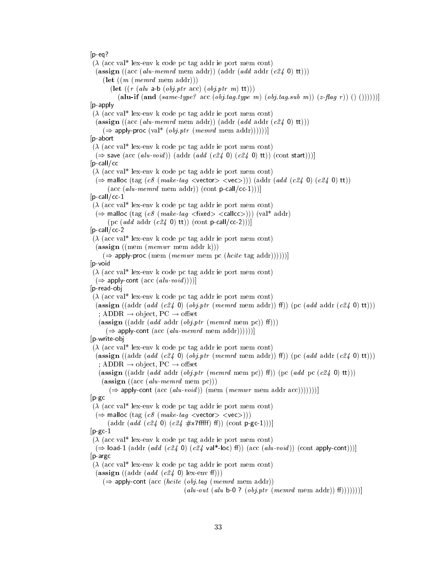#### $[p-eq]$

 $(\lambda$  (acc val<sup>\*</sup> lex-env k code pc tag addr ie port mem cont) (assign  $((\text{acc } (alu\text{-}memrd \text{ mem } \text{addr})) (\text{addr } (add \text{addr } (c24 \text{ 0}) \text{ tt})))$  $(\textbf{let } ((m \ (memr d \text{ mem } addr)))$ (let  $((r (alu a-b (obj.ptr acc) (obj.ptr m) tt)))$ (alu-if (and  $(same-type? \; \text{acc}(\text{obj}.tag.type \; m)(\text{obj}.tag.sub \; m)) (z-flag \; r)) () () )))))$ [p-apply  $(\lambda$  (acc val<sup>\*</sup> lex-env k code pc tag addr ie port mem cont) (assign ((acc (alu-memrd mem addr)) (addr (add addr  $(c24 0)$  tt)))  $(\Rightarrow$  apply-proc (val\* (*obj.ptr* (*memrd* mem addr))))))] [p-abort  $(\lambda$  (acc val<sup>\*</sup> lex-env k code pc tag addr ie port mem cont)  $(\Rightarrow$  save (acc (alu-void)) (addr (add (c24 0) (c24 0) tt)) (cont start)))]  $[p$ -call/cc  $(\lambda$  (acc val<sup>\*</sup> lex-env k code pc tag addr ie port mem cont)  $(\Rightarrow$  malloc (tag (c8 (make-tag <vector> <vec>))) (addr (add (c24 0) (c24 0) tt))  $(\text{acc } (alu\text{-}mem\text{-}rd \text{ mem } \text{addr})) (\text{cont } p\text{-}call/cc\text{-}1)))$  $[p$ -call/cc-1  $(\lambda$  (acc val<sup>\*</sup> lex-env k code pc tag addr ie port mem cont)  $(\Rightarrow$  malloc (tag (c8 (make-tag <fixed> <callcc>))) (val\* addr) (pc (add addr (c24 0) tt)) (cont p-call/cc-2)))] [p-call/cc-2  $(\lambda$  (acc val<sup>\*</sup> lex-env k code pc tag addr ie port mem cont)  $(\text{assign } ((\text{mem } (memwr \text{ mem } addr \text{ k})))$  $(\Rightarrow$  apply-proc (mem (memwr mem pc (hcite tag addr))))))] [p-void  $(\lambda$  (acc val<sup>\*</sup> lex-env k code pc tag addr ie port mem cont)  $(\Rightarrow$  apply-cont (acc (alu-void)))] [p-read-obj  $(\lambda$  (acc val\* lex-env k code pc tag addr ie port mem cont) (assign ((addr (add (c24 0) (obj.ptr (memrd mem addr)) ff)) (pc (add addr (c24 0) tt))) ; ADDR  $\rightarrow$  object, PC  $\rightarrow$  offset (assign ((addr (add addr (obj.ptr (memrd mem pc)) f()))  $(\Rightarrow$  apply-cont (acc (alu-memrd mem addr))))))] [p-write-obj  $(\lambda$  (acc val\* lex-env k code pc tag addr ie port mem cont) (assign ((addr (add (c24 0) (obj.ptr (memrd mem addr)) ff) (pc (add addr (c24 0) tt))) ; ADDR  $\rightarrow$  object, PC  $\rightarrow$  offset (assign ((addr (add addr (obj.ptr (memrd mem pc)) ff)) (pc (add pc (c24 0) tt)))  $(\text{assign } ((acc (alu-memrd \text{ mem } pc)))$  $(\Rightarrow$  apply-cont (acc (alu-void)) (mem (memwr mem addr acc)))))))]  $[p-gc]$  $(\lambda$  (acc val\* lex-env k code pc tag addr ie port mem cont)  $(\Rightarrow$  malloc (tag (c8 (make-tag <vector> <vec>))) (addr  $(add (c24 0) (c24 #x7ffff) ff)$ ) (cont p-gc-1)))]  $[p-gc-1]$  $(\lambda$  (acc val<sup>\*</sup> lex-env k code pc tag addr ie port mem cont)  $(\Rightarrow$  load-1 (addr (add (c24 0) (c24 val\*-loc) ff)) (acc (alu-void)) (cont apply-cont)))] [p-argc  $(\lambda$  (acc val\* lex-env k code pc tag addr ie port mem cont) (assign ((addr (add (c24 0) lex-env f()))  $(\Rightarrow$  apply-cont (acc (*hcite* (*obj.tag* (*memrd* mem addr))  $(alu\text{-}out (alu b-0 ? (obj.ptr (memrd mem addr)) ff))))$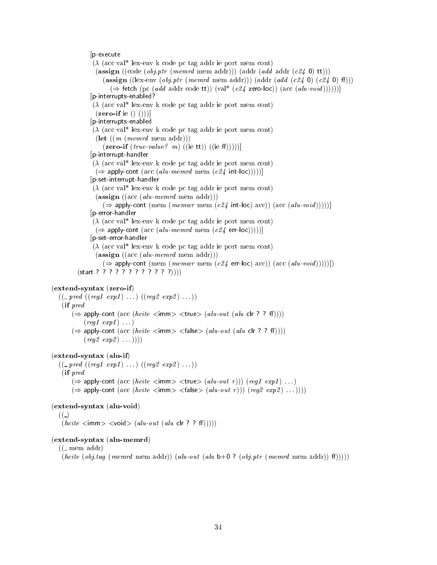#### [p-execute

 $(\lambda$  (acc val<sup>\*</sup> lex-env k code pc tag addr ie port mem cont) (assign ((code (*obj.ptr* (*memrd* mem addr))) (addr (*add* addr (*c24* 0) tt))) (assign ((lex-env (*obj.ptr* (*memrd* mem addr))) (addr (*add* (*c24* 0) (*c24* 0) ff)))  $(\Rightarrow$  fetch (pc (add addr code tt)) (val\* (c24 zero-loc)) (acc (alu-void)))))] [p-interrupts-enabled?  $(\lambda$  (acc val<sup>\*</sup> lex-env k code pc tag addr ie port mem cont)  $(**zero-if**$  ie  $() ()$ [p-interrupts-enabled  $(\lambda$  (acc val<sup>\*</sup> lex-env k code pc tag addr ie port mem cont)  $(\text{let } ((m \ (memr d \text{ mem } addr)))$  $(\mathbf{zero}\text{-}\mathbf{if}(true\text{-}value\text{? } m) ((ie \text{tt}))((ie \text{ff}))))]$ [p-interrupt-handler  $(\lambda$  (acc val<sup>\*</sup> lex-env k code pc tag addr ie port mem cont)  $(\Rightarrow$  apply-cont (acc (alu-memrd mem (c24 int-loc)))))] [p-set-interrupt-handler  $(\lambda$  (acc val\* lex-env k code pc tag addr ie port mem cont)  $(\text{assign } ((\text{acc } (alu\text{-}memrd \text{ mem } \text{addr})))$  $(\Rightarrow$  apply-cont (mem (*memwr* mem (c24 int-loc) acc)) (acc (*alu-void*)))))] [p-error-handler  $(\lambda$  (acc val<sup>\*</sup> lex-env k code pc tag addr ie port mem cont)  $(\Rightarrow$  apply-cont (acc (alu-memrd mem (c24 err-loc)))))] [p-set-error-handler  $(\lambda$  (acc val<sup>\*</sup> lex-env k code pc tag addr ie port mem cont)  $(\text{assign } ((\text{acc } (alu\text{-}memrd \text{ mem } \text{addr})))$  $(\Rightarrow$  apply-cont (mem (*memwr* mem (*c24* err-loc) acc)) (acc (*alu-void*))))]) (start ? ? ? ? ? ? ? ? ? ? ? ?))))

### (extend-syntax (zero-if)

```
((\_pred ((reg1 exp1) ...)(reg2 exp2) ...))(if pred
     (\Rightarrow apply-cont (acc (hcite \langleimm> \langletrue> (alu-out (alu clr ? ? ff))))
           (\text{reg1} \ \text{exp1}) \ \ldots)(\Rightarrow apply-cont (acc (hcite \langleimm\rangle \langle false\rangle (alu-out (alu clr ? ? ff))))
           (\text{reg2 } \exp 2) \dots ))))
```
#### (extend-syntax (alu-if)

 $((\_pred ((reg1 exp1) ...)(reg2 exp2) ...))$ (if pred  $(\Rightarrow$  apply-cont (acc (hcite  $\leq$ imm $\geq$   $\leq$ true $\geq$   $(alu\text{-}out r))$ ) (reg1 exp1) ...)  $(\Rightarrow$  apply-cont (acc (hcite  $\leq$ imm $>$   $\leq$ false $>$  (alu-out r))) (reg2 exp2) ...))))

#### (extend-syntax (alu-void)

 $((-)$ 

 $(hcite *imm* > *void* > (alu-out (alu clr ? ? ff))))$ 

#### (extend-syntax (alu-memrd)

 $((-$  mem addr)

(hcite (obj.tag (memrd mem addr)) (alu-out (alu b+0 ? (obj.ptr (memrd mem addr))  $(f))$ )))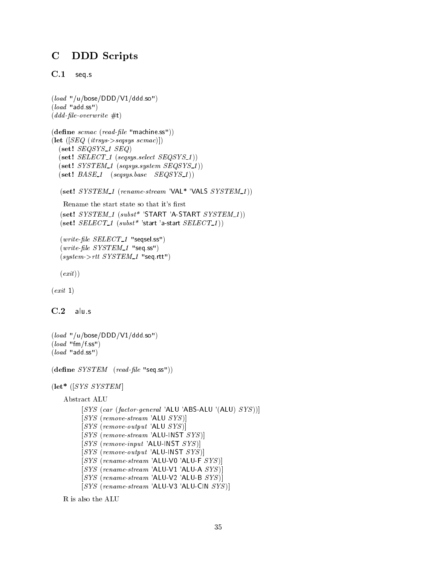## C DDD Scripts

C.1 seq.s

```
(load "/u/base/DDD/V1/ddd so")(load "add ss")
(ddd-file-overwrite \#t)(\text{define } \textit{scmac} \ (\textit{read-file} \ \text{"machine ss"}))(\text{let } ([SEQ (itrsys->seqsys scmac)])(set! SEQSYS_1 SEQ)(self. <i>SELECT_1</i> (segsys. <i>select</i> <i>SEQSYS_1</i>))(self. SYSTEM_1 (seqsys. system SEQSYS_1))(self. BASE_1 (seqsys. base  SEQSYS_1))(set! SYSTEM_1 (rename-stream 'VAL* 'VALS SYSTEM_1))
    Rename the start state so that it's first
  (set! \; SYSTEM_1 \; (subst^* \; 'START \; 'A-STATEIT \; SYSTEM_1))(set! SELECT_1 (subst* 'start 'a-start SELECT_1))
  (write-file SELECT_1 "seqsel.ss")
  (write-file SYSTEM_1 "seq.ss")
  (system > rtt \; SYSTEM_1 "seq.rtt")
  (exit)(exit 1)
```

```
C.2alu.s
```

```
(load "/u/base/DDD/V1/ddd so")(\text{load "fm/f ss")}(load "add.ss")
```
 $(\text{define } SYSTEM \ (read-file \ "seq ss"))$ 

```
(\text{let}^* ([SYS SYSTEM]
```

```
Abstract ALU
```

```
[SYS (car (factor-general 'ALU 'ABS-ALU 'ALU ) SYS )][SYS (remove-stream 'ALU <i>SYS</i> )][SYS (remove-output 'ALU <i>SYS</i> )][SYS (remove-stream 'ALU-INST <i>SYS</i> )][SYS (remove-input 'ALU-INST <i>SYS</i> )][SYS (remove-output 'ALU-INST <i>SYS</i> )][SYS (rename-stream 'ALU-V0 'ALU-F <i>SYS</i> )][SYS (rename-stream 'ALU-V1 'ALU-A <i>SYS</i> )][SYS (rename-stream 'ALU-V2 'ALU-B <i>SYS</i> )][SYS (rename-stream 'ALU-V3 'ALU-CIN <i>SYS</i> )]
```
R is also the ALU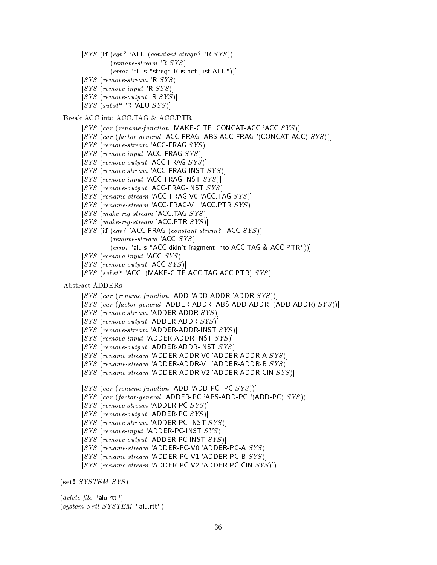- $[SYS$  (if  $(eqv?$  'ALU  $(constant\text{-}stream?$ 'R  $SYS)$ ) (remove-stream 'R SYS )
	- $(\textit{error}~'$ alu s "streqn R is not just ALU"))]
- $[SYS (remove-stream 'R *SYS* )]$
- $[SYS (remove-input 'R *SYS* )]$
- $[SYS (remove-output 'R *SYS*$
- $[SYS (subset^* 'R 'ALU *SYS* )]$

### Break ACC into ACC.TAG&ACC.PTR

- $[SYS (car (rename-function 'MAKE-CITE 'CONCAT-ACC 'ACC  $SYS$ ))]$
- [SYS (car (factor-general 'ACC-FRAG 'ABS-ACC-FRAG '(CONCAT-ACC) SYS))]
- $[SYS (remove-stream 'ACC-FRAG  $SYS$  )]$
- $[SYS (remove-input 'ACC-FRAG *SYS* )]$
- $[SYS (remove-output 'ACC-FRAG *SYS* )]$
- $[SYS (remove-stream 'ACC-FRAG-INST *SYS* )]$
- $[SYS (remove-input 'ACC-FRAG-INST *SYS* )]$
- $[SYS (remove-output 'ACC-FRAG-INST *SYS* )]$
- [SYS (rename-stream 'ACC-FRAG-V0 'ACC TAG SYS)]
- [SYS (rename-stream 'ACC-FRAG-V1 'ACC PTR SYS)]
- $[SYS (make-reg-stream 'ACC TAG *SYS* )]$
- $[SYS (make-reg-stream 'ACC. PTR *SYS* )]$
- [SYS (if (eqv? 'ACC-FRAG (constant-streqn? 'ACC SYS))  $(remove-stream$ 'ACC  $SYS$ )
	- (error 'alu.s "ACC didn't fragment into ACC.TAG & ACC.PTR"))]
- $[SYS (remove-input 'ACC *SYS* )]$
- $[SYS (remove-output 'ACC *SYS* )]$
- $[SYS$  (subst<sup>\*</sup> 'ACC '(MAKE-CITE ACC.TAG ACC.PTR)  $SYS$ )]

#### Abstract ADDERs

- $[SYS (car (rename-function 'ADD 'ADD-ADD R 'ADD R 'SUS$
- $[SYS (car (factor-general 'ADDER-ADDR 'ABS-ADD-ADDR 'ADD-ADDR) SYS$ ))]
- $[SYS (remove-stream 'ADDER-ADDR  $SYS$ )]$
- $[SYS (remove-output 'ADDER-ADDR *SYS* )]$
- $[SYS (remove-stream 'ADDER-ADDR-INST *SYS* )]$
- $[SYS (remove-input 'ADDER-ADDR-INST *SYS* )]$
- $[SYS (remove-output 'ADDER-ADDR-INST *SYS* )]$
- $[SYS (rename-stream 'ADDER-ADDR-V0 'ADDER-ADDR-A  $SYS$  )]$
- [SYS (rename-stream 'ADDER-ADDR-V1 'ADDER-ADDR-B SYS)]
- [SYS (rename-stream 'ADDER-ADDR-V2 'ADDER-ADDR-CIN SYS)]
- [SYS (car (rename-function 'ADD 'ADD-PC 'PC SYS))]
- [SYS (car (factor-general 'ADDER-PC 'ABS-ADD-PC '(ADD-PC) SYS))]
- $[SYS (remove-stream 'ADDER-PC  $SYS$  )]$
- $[SYS (remove-output 'ADDER-PC *SYS* )]$
- $[SYS (remove-stream 'ADDER-PC-INST *SYS* )]$
- $[SYS (remove-input 'ADDER-PC-INST *SYS* )]$
- $[SYS (remove-output 'ADDER-PC-INST *SYS* )]$
- [SYS (rename-stream 'ADDER-PC-V0 'ADDER-PC-A SYS)]
- [SYS (rename-stream 'ADDER-PC-V1 'ADDER-PC-B SYS)]
- $[SYS (rename-stream 'ADDER-PC-V2 'ADDER-PC-CIN  $SYS$ )])$

(set! SYSTEM SYS)

 $(delete-file "alu.rtt")$  $(system > rtt \; SYSTEM \text{ "alu.rtt"})$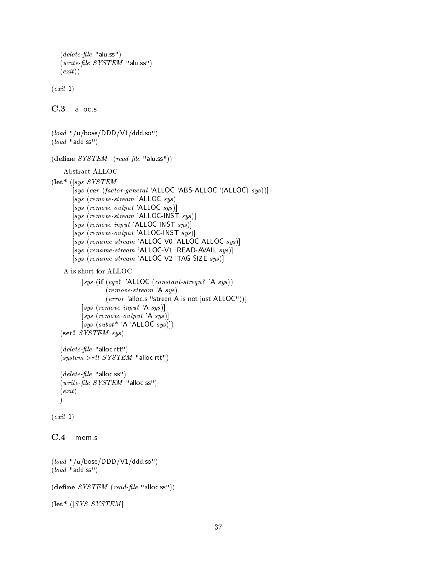```
(delete-file "alu.ss")
(write-file SYSTEM "alus")(exit)
```
 $(exit 1)$ 

C.3 alloc.s

```
(load "/u/bose/DDD/V1/ddd.so")
(load "add.ss")
(\text{define } SYSTEM \text{ (read-file "alu.ss"))Abstract ALLOC
(\textbf{let*} ([sys SYSTEM]
         [sys (car (factor-general 'ALLOC 'ABS-ALLOC '(ALLOC) sys))]
         [sys (remove-stream 'ALLOC sys)][sys (remove-output 'ALLOC sys)]
         [sys (remove-stream 'ALLOC-INST sys)][sys (remove-input 'ALLOC-INST sys)][sys (remove-output 'ALLOC-INST sys )][sys (rename-stream 'ALLOC-V0 'ALLOC-ALLOC sys)]
        [sys (rename-stream 'ALLOC-V1 'READ-AVAIL sys)]
        [sys (rename-stream 'ALLOC-V2 'TAG-SIZE sys )]
    A is short for ALLOC
            [sys (if (eqv? 'ALLOC (constant-stream? 'A sys))(remove-stream 'A sys )
                      (error 'alloc.s "streqn A is not just ALLOC"))]
            [sys (remove-input 'A sys )]
            [sys (remove-output 'A sys)][sys (subst * 'A 'ALLOC sys )])(set! SYSTEM sys )
   (delete-file "alloc rtt")(system ->rtt SYSTEM "alloc.rtt")
   (delete-file "alloc.ss")
   (write-file SYSTEM "alloc.ss")
   \text{( }exit)\mathbf{I} and \mathbf{I} and \mathbf{I} and \mathbf{I} and \mathbf{I} and \mathbf{I} and \mathbf{I} and \mathbf{I} and \mathbf{I} and \mathbf{I} and \mathbf{I} and \mathbf{I} and \mathbf{I} and \mathbf{I} and \mathbf{I} and \mathbf{I} and \mathbf{I} and 
(exit 1)C.4mem s
```

```
(load "/u/base/DDD/V1/ddd so")(load "add.ss")
```

```
(\text{define } SYSTEM \ (read-file \ "alloc.ss"))
```

```
(\text{let}^* ([SYS SYSTEM])
```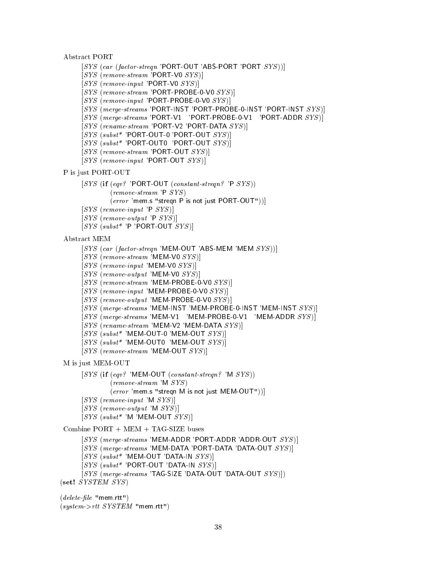```
Abstract PORT
```

```
[SYS (car (factor-streqn 'PORT-OUT 'ABS-PORT 'PORT SYS))]
```

```
[SYS (remove-stream 'PORT-V0 <i>SYS</i> )]
```

```
[SYS (remove-input 'PORT-V0 <i>SYS</i> )]
```

```
[SYS (remove-stream 'PORT-PROBE-0-V0 <i>SYS</i> )]
```
- $[SYS (remove-input 'PORT-PROBE-0-V0 *SYS* )]$
- [SYS (merge-streams 'PORT-INST 'PORT-PROBE-0-INST 'PORT-INST SYS)]
- [SYS (merge-streams 'PORT-V1 'PORT-PROBE-0-V1 'PORT-ADDR SYS)]
- [SYS (rename-stream 'PORT-V2 'PORT-DATA SYS)]
- $[SYS (subset^* 'PORT-OUT-0 'PORT-OUT SYS )]$
- $[SYS (subset^* 'PORT-OUT0 'PORT-OUT SYS )]$
- $[SYS (remove-stream 'PORT-OUT  $SYS$  )]$
- $[SYS (remove-input 'PORT-OUT *SYS* )]$

```
P is just PORT-OUT
```

```
[SYS (if (eqv? 'PORT-OUT (constant\text{-}step? 'P SYS))
```

```
(remove-stream \ P \ SYS)
```

```
(error 'mem.s "stregn P is not just PORT-OUT"))]
```

```
[SYS (remove-input 'P <i>SYS</i> )]
```
- $[SYS (remove-output 'P *SYS* )]$
- $[SYS (subset^* 'P 'PORT-OUT *SYS* )]$

Abstract MEM

```
[SYS (car (factor-stream 'MEM-OUT 'ABS-MEM 'MEM <i>SYS</i>
```

```
[SYS (remove-stream 'MEM-V0 <i>SYS</i> )]
```

```
[SYS (remove-input 'MEM-V0 <i>SYS</i> )]
```
- $[SYS (remove-output 'MEM-V0 *SYS* )]$
- $[SYS (remove-stream 'MEM-PROBE-0-V0 *SYS* )]$
- $[SYS (remove-input 'MEM-PROBE-0-V0 *SYS* )]$
- $[SYS (remove-output 'MEM-PROBE-0-V0 *SYS* )]$
- $[SYS$  (merge-streams 'MEM-INST 'MEM-PROBE-0-INST 'MEM-INST  $SYS$ )
- $[SYS (merge-streams 'MEM-V1 'MEM-PROBE-0-V1 'MEM-ADDR  $SYS$ )]$
- $[SYS (rename-stream 'MEM-V2 'MEM-DATA  $SYS$  )]$
- $[SYS (subset^* 'MEM-OUT-0 'MEM-OUT *SYS* )]$
- $[SYS (subset^* 'MEM-OUT0 'MEM-OUT SYS')]$
- $[SYS (remove-stream 'MEM-OUT *SYS* )]$

M is just MEM-OUT

```
[SYS (if (eqv? 'MEM-OUT (constant\text{-}stream?'M SYS))
         (remove-stream \, 'M \,SYS)
```

```
(error 'mem.s "stregn M is not just MEM-OUT"))]
```

```
[SYS (remove-input 'M <i>SYS</i> )]
```

```
[SYS (remove-output 'M <i>SYS</i>
```

```
[SYS (subset^* 'M 'MEM-OUT <i>SYS</i> )]
```

```
Combine PORT + MEM + TAG-SIZE buses
```

```
[SYS (merge-streams 'MEM-ADDR 'PORT-ADDR 'ADDR-OUT SYS)]
```
- $[SYS$  (merge-streams 'MEM-DATA 'PORT-DATA 'DATA-OUT  $SYS$ )]
- $[SYS (subset^* 'MEM-OUT 'DATA-IN *SYS* )]$
- $[SYS (subset^* 'PORT-OUT 'DATA-IN *SYS* )]$
- [SYS (merge-streams 'TAG-SIZE 'DATA-OUT 'DATA-OUT SYS)])

```
(set! SYSTEM SYS)
```
 $(delete$ -file "mem.rtt") (system->rtt SYSTEM "mem.rtt")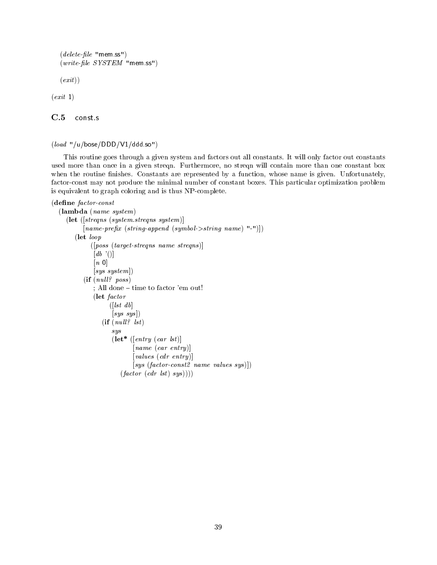$(delete$ -file "mem.ss")  $(write-file < *SYSTEM* "mem.ss")$ 

 $\left(\,exit\,) \right)$ 

 $(exit 1)$ 

C.5 const.s

```
(load "/u/bose/DDD/V1/ddd.so")
```
This routine goes through a given system and factors out all constants. It will only factor out constants used more than once in a given streqn. Furthermore, no streqn will contain more than one constant box when the routine finishes. Constants are represented by a function, whose name is given. Unfortunately, factor-const may not produce the minimal number of constant boxes. This particular optimization problem is equivalent to graph coloring and is thus NP-complete.

### (define factor-const

```
(lambda (name system)
  (let ([streqns (system.streqns system)]
        [name-prefix (string-append (symbol->string name) "-")])
     (let loop
           ([poss (target-streams name steps)]\lceil db'(\cdot) \rceil[n 0]
            [sys system])
        (if (null? \ poss); All done - time to factor 'em out!
            (let factor
                  ([lst \ db][sys\; sys](if (null? \; lst)sys
                   (\textbf{let*} \ (|entry \ (car \ lst))[name (car entry)]
                           [values (cdr entry )]
                           [sys (factor-const2 \text{ name values sys})])(factor (cdr lst) sys))))
```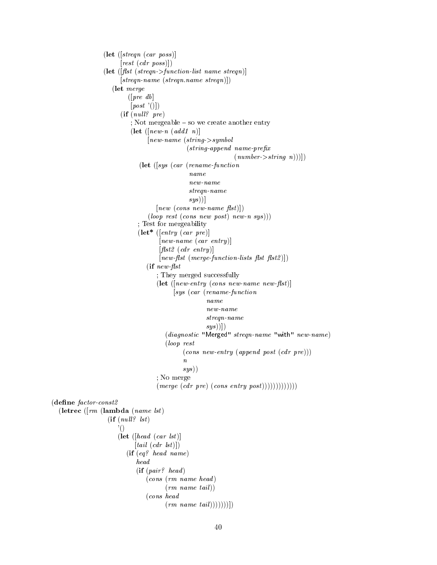```
(let ([streqn (car poss )]
                            [rest (cdr poss)])(\text{let } (f \mid \text{list } (stream > function-list name stream))[streqn-name (streqn.name streqn)])
                        (let merge
                               ([pre \; db][post'()])(if (null? pre); Not mergeable = so we create another entry
                                (let \left(\left\lceil new\text{-}n\ (add\ 1\ n)\right\rceil\right)[new-name (string->symbol
                                                      (suring\text{-}append\ name\text{-}prefix(number \gt{string } n))))(let ([sys (car (rename-function
                                                       name
                                                       new-name
                                                       streqn-name
                                                       (sys))]
                                          \lceil new \; (cons \; new \text{-}name \; flst) \rceil)(log_{\textit{op} \textit{rest}} (cons\textit{new post}) \textit{new-n sys})
                                   ; Test for mergeability
                                   (\text{let* } (entry (car pre))new-name (car entry)]
                                            [{\it flat2 (cdr entry)}]\lceil new\text{-}flst \text{ (merge-function-lists }\text{flst }\text{flst2}) \rceil(if new\text{-}flst; They merged successfully
                                          (\text{let } ( \text{new-entry } (\text{cons } \text{new-name } \text{new-first} ) )[sys (car (rename-function
                                                              name
                                                              new-name
                                                              streqn-name
                                                              sys)])
                                             (diagnostic "Merged" streqn-name "with" new-name)
                                             (loop rest
                                                     (cons new-entry (append post (cdr pre)))
                                                     \boldsymbol{n}sys)); No merge
                                          (merge (cdr pre) (cons entry post))))))))))(define factor-const2(letrec ([rm (lambda (name 1st))
                      (if (null? 1st)'()
                           (\text{let } (head \ (car \ lst))[tail (cdr 1st)](if (eq? head name)
                                  (if (pair? \ head)(cons (rm name head )
                                              (rm \text{ name } tail))(cons head
                                              (rm \ \textit{name tail}))))))
```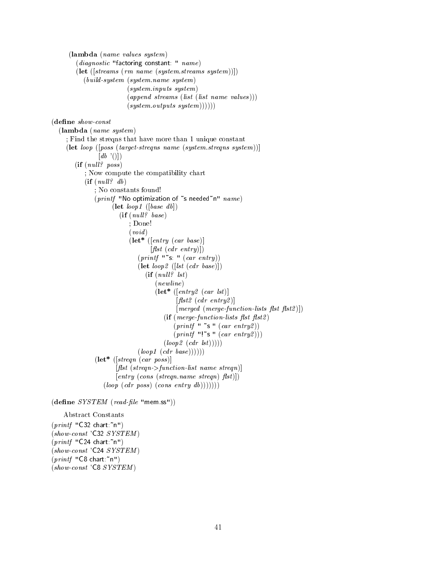(lambda (name values system) (diagnostic "factoring constant: " name)  $(\textbf{let } (\text{[stress } (rm \ name \text{ (system} \text{.} streams \text{ system}))))$ (build-system (system.name system) (system.inputs system)  $(\text{append streams} (\text{list} (\text{list name values})))$  $(system.outputs system))))))$ (define show-const (lambda (name system) ; Find the streqns that have more than 1 unique constant (let loop ([poss (target-streqns name (system.streqns system))]  $\lceil db'(\cdot)\rceil$  $(if (null? \ pos)$ ; Now compute the compatibility chart  $(if (null? db)$ ; No constants found! (printf "No optimization of  $\tilde{ }$  s needed $\tilde{ }$ n"  $name)$  $(\textbf{let } loop1 \; ([base \; db])$  $(if (null? \ base)$ ; Done!  $(void)$  $(\textbf{let* } ($ entry  $(\textit{car base})$ ]  $[{\it flat (cdr entry)}])$  $(printf "s" (car entry))$  $(\text{let } loop2 \; ( [lst \; (cdr \; base)] )$  $(if (null? \; lst)$  $(newline)$  $(\textbf{let* } ([entry2 (car 1st)])$  $[{\it flat2 (cdr entry2)}]$  $[merged (merge-function-lists flst flst2)])$  $(if (merge-function-lists flst \text{f}lst2)$  $(printf " s " (car entry2))$  $(printf$  "'s "  $(car \ entry2))$ )  $(logp2~(cdr~lst))))$  $(logp1 (cdr base))))$  $(\text{let}^* \ (| \text{stream} \ (car \ poss))$  $[{\it flat (stream}>function-list \; name \; stream)]$  $[entry (cons (stream.name stream) fits)$  $(logp (cdr pos) (cons entry db))))))$  $(\text{define } SYSTEM \ (read-file \ "mem.ss"))$ Abstract Constants  $(printf$  "C32 chart:"n")  $(show\text{-}const$  'C32 SYSTEM)  $(printf$  "C24 chart:"n")

 $(show\text{-}const$  'C24 SYSTEM)

 $(printf$  "C8 chart:"n") (show-const 'C8 SYSTEM )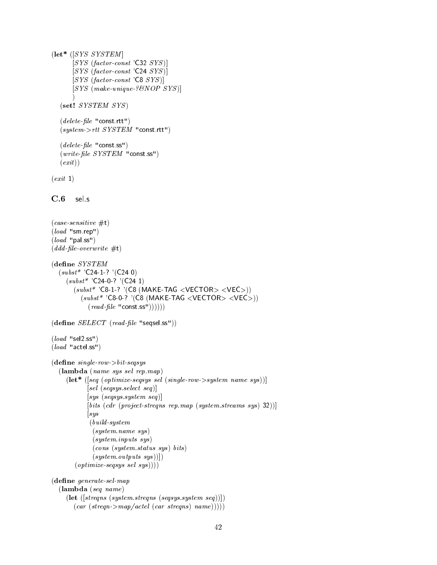```
(\text{let}^* ([SYS SYSTEM]
        [SYS (factor \cdot const \cdot 'C32 \cdot SYS )][SYS (factor-const 'C24 SYS)]
        [SYS (factor-const 'C8 <i>SYS</i> )][SYS (make-unique. ? \& NOP \; SYS)])
   (set! SYSTEM SYS)
   (delete-file "const. rtt")(system > rtt \; SYSTEM \text{ "const.}rtt")(delete\text{-}file "const.ss")
   (write-file SYSTEM "const.ss")
   \left(\,exit\,) \right)(exit 1)C.6 sel.s
(case-sensitive #t)(load "sm.rep")
\left( \text{load "pal ss"} \right)(ddd-file-overwrite \#t)(dene SYSTEM
  (subst* 'C24-1-? '(C24 0)(subst^* 'C24-0-?' (C24 1)
        (subst^* 'C8-1-? '(C8 (MAKE-TAG <VECTOR> <VEC>))
          (subst^* 'C8-0-? '(C8 (MAKE-TAG <VECTOR> <VEC>))
             (\text{read-file "const ss"))))))(define SELECT (read-file "seqsel.ss"))(load "sel2.ss")
(load "actel.ss")
(define\ single-row > bit-segsys(lambda (name sys sel rep.map)
     (\text{let* } (\text{[}seq \text{ (}optimize\text{-}segsys \text{ }sel \text{ (}single-row \text{-}system \text{ }name \text{ } sys))[sel (segsys.sleepct seq)][sys (seqsys.system seq )]
             [bits (cdr (project-streams repmap (system-streams sys) 32))]|sys(build-system
              (system.name sys )
               (system.inputs sys )
               (cons (system status sys) bits)(system.outputs sys))(\text{ optimize-}segsys\ \text{sel}\ \text{sys})))
```
 $(define\ generate-sel-map)$ 

(lambda (seq name)

```
(\textbf{let } (\text{[steps (systems.steps (segsys. system seq))})).(car (stregn > map/cctel (car stregns) name))))
```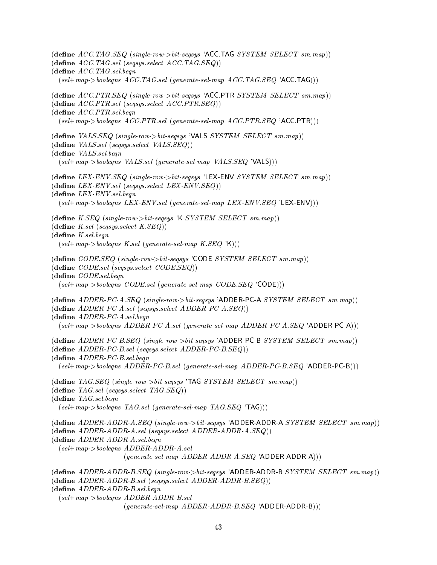(define  $ACC.TAG.SEQ$  (single-row- $> bit\text{-}seqsys$  'ACC.TAG SYSTEM SELECT sm.map))  $(\text{define } ACC. TAG. sel (segsys. select ACC. TAG. SEQ))$  $(\text{define } ACC. TAG. sel. beqn$  $(self + map \gt \text{booleans } ACC.TAG.sel (generate-sel-map ACC.TAG.SEQ 'ACC.TAG))$  $(\text{define } ACC.PTR. SEQ (single-row= bit-segsys 'ACC.PTR SYSTEM SELECT sm.max))$  $(\text{define } ACC.PTR.sel (segsys. select } ACC.PTR.SEQ))$  $(\text{define } ACC.PTR.$ sel.begn  $(self + map > booleanes \, ACC.PTR. sel \ (generate-sel-map \, ACC.PTR. SEQ \, 'ACC.PTR))$ (define  $VALS. SEQ$  (single-row- $> bit\text{-}seqsys$  'VALS SYSTEM SELECT sm.map))  $(\text{define } VALS. \text{sel } (segsys. \text{select } VALS. \text{SEQ}))$ (define VALS.sel.beqn  $(self-map \rightarrow booleans \; VALS. sel \; (generate \; sel \; map \; VALS. SEQ \; VALS)))$  $(\text{define } LEX-ENV. SEQ \text{ (single-row} > bit-seqsys \text{ 'LEX-ENV } SYSTEM \text{ SELECT } sm.map))$  $(define$   $LEX$ - $ENV.sel$   $(seqsys. select$   $LEX$ - $ENV. SEQ$  $))$  $(define$  LEX-ENV.sel.beqn  $(self + map > boolean \text{LEX-}\text{ENV}\text{.} \text{sel} \text{ (generate-sel-map } \text{LEX-}\text{ENV}\text{.} \text{SEQ 'LEX-}\text{ENV}))$  $(\text{define } K.$  SEQ  $(single-row > bit-segsys$  'K SYSTEM SELECT sm.map))  $(\text{define } K.\text{sel } (seqsys.\text{select } K.\text{SEQ}))$  $(define K. sel. begn$  $(self-map \gt \text{boolean } K.\text{sel} (generate \text{ } \text{sel-map} K.\text{ } SEQ \text{ } 'K)))$  $(\text{define } CODE. SEQ \text{ (single-row-} \text{}> bit-seqsys \text{ 'CODE } SYSTEM \text{ SELECT } sm.map))$  $(define\ CODE. sel\ (segsys. select\ CODE. SEQ))$ (define CODE.sel.beqn  $(self-map \gt \text{boolean } CODE \text{.} sel \text{ (generate } \text{.} gen \text{ on } CODE \text{.} SEQ \text{ 'CODE)}))$  $(\text{define } ADDER-PC-A. SEQ \ (single-row-bit-segsys \text{ 'ADDER-PC-A } SYSTEM \t SELECT \t smmap))$  $(\text{define } ADDER-PC-A.\text{sel } (segsys.\text{select } ADDER-PC-A.\text{SEQ}))$ (define  $ADDER-PC-A.$ sel.beqn (sel+map->booleqns ADDER-PC-A.sel (generate-sel-map ADDER-PC-A.SEQ 'ADDER-PC-A)))  $(\text{define } ADDER-PC-B. SEG (single-row-bit-seasys \text{'ADDER-PC-B SYSTEM SELECT sm.map}))$  $(define ADDER-PC-B.sel (segsys. select ADDER-PC-B. SEQ))$  $(define$   $ADDER-PC-B$ .sel.begn  $(self-map \gt \textit{booleans} \, ADDER\text{-}PC\text{-}B\text{.sel} \, (generate\text{-}sel\text{-}map \, ADDER\text{-}PC\text{-}B\text{.SEQ} \, 'ADDER\text{-}PC\text{-}B)))$  $(\text{define } TAG.SEQ \ (single-row > bit-segsys \ 'TAG \ SYSTEM \ SELECT \ sm.max) )$  $(\text{define } TAG.sel (segsys.select TAG. SEQ))$  $(define$  TAG.sel.beqn  $(self + map \gt \boldsymbol{boolean} \ \ \textit{TAG}.\ \boldsymbol{sel} \ \textit{(generate-sel-map} \ \ \textit{TAG}.\ \boldsymbol{SEQ} \ \ \text{'TAG}))$  $(\text{define } ADDER\text{-}ADDR\text{-}A.SEQ (single-row-}bit-segsys \text{ 'ADDER-ADDR-A } SYSTEM \text{ SELECT } sm.map))$  $(\text{define } ADDER\text{-}ADDR\text{-}A\text{.}sel (segsys\text{.}select \text{ } ADDER\text{-}ADDR\text{-}A\text{.}SEQ))$ (define ADDER-ADDR-A.sel.beqn  $(self + map > booleanes$   $ADDER$ - $ADDR$ - $A$ .sel  $(generate-sel-map ADDER-ADDR-A.SEQ'ADDER-ADDR-A))$  $(\text{define } ADDER\text{-}ADDR\text{-}B.SEQ \text{ (single-row}>bit\text{-}seqsys \text{'ADDER\text{-}ADDR-B SYSTEM SELECT sm-map)})$  $(\text{define } ADDER\text{-}ADDR\text{-}B\text{.}sel$   $(seqsys\text{.}select \text{ } ADDER\text{-}ADDR\text{-}B\text{.}SRQ))$  $(define$   $ADDER$ - $ADDR$ - $B$ .sel.begn (sel+map->booleqns ADDER-ADDR-B.sel  $(generate\text{-}sel\text{-}map\text{-}ADDER\text{-}ADDR-B.SEQ\text{'ADDER\text{-}ADDR-B})))$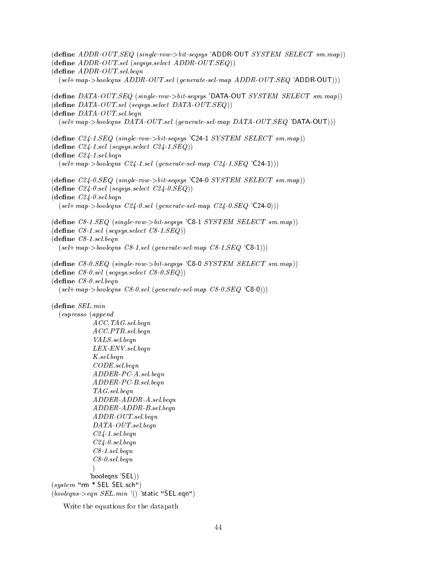(define  $ADDR\text{-}OUT.SEQ$  (single-row- $> bit\text{-}segsys$  'ADDR-OUT SYSTEM SELECT sm.map))  $(define ADDR-OUT.sel (segsys.select ADDR-OUT.SEQ))$  $(define$   $ADDR$ - $OUT$ .sel.beqn  $(self-map \gt \textit{booleans} \, \, ADDR\text{-}OUT\text{.} \, sel \, \, (generate\text{-}sel\text{-}map \, \, ADDR\text{-}OUT\text{.} \, SEQ \, \, \, \land \, \text{ADDR\text{-}OUT}))$ (define  $DATA\text{-}OUT\_SEQ$  (single-row- $\gt{bit\text{-}seqsys}$  'DATA-OUT SYSTEM SELECT sm.map))  $(\text{define } DATA\text{-}OUT\text{.}sel\text{ }(\text{segsys}\text{.}select\text{ }DATA\text{-}OUT\text{.}SEQ))$  $(define~DATA-OUT.sel. *begin*$ (sel+map->booleqns DATA-OUT.sel (generate-sel-map DATA-OUT.SEQ 'DATA-OUT))) (define  $C24$ -1.SEQ (single-row- $> bit$ -seqsys 'C24-1 SYSTEM SELECT sm.map))  $(\text{define } C24\text{-}1.\text{sel } (segsys.\text{select } C24\text{-}1.\text{SEQ}))$  $(define C24-1. sel. begn$  $(self-map \ge booleans \; C24-1.\; sel \; (generate \; sel \; map \; C24-1.\; SEQ \; 'C24-1)))$  $(\text{define } C24\text{-}0. SEQ \ (single-row-}bit-seqsys \ 'C24\text{-}0. SYSTEM \ SELECT \ sm-map))$  $(\text{define } C24\text{-}0.\text{sel } (segsys.\text{select } C24\text{-}0.\text{SEQ}))$  $(define C24-0. sel. begn$  $(self-map \gt \text{boolean } C24 - 0.\text{sel} \text{ (generate-sel-map } C24 - 0.\text{SEQ 'C24-0)}))$  $(\text{define } C8-1. SEQ \ (single-row > bit-segsys \ 'C8-1 \ SYSTEM \ SELECT \ sm-map))$  $(\text{define } C8\text{-}1.\text{sel } (segsys.\text{select } C8\text{-}1.\text{SEQ}))$  $(define C8-1. sel. begn$  $(self + map \gt \boldsymbol{boolean} \ \ \textit{CS-1}.\ \textit{sel} \ \ \textit{(generate-sel-map} \ \ \textit{CS-1}. \ \textit{SEQ'}\ \texttt{CS-1)}))$  $(\text{define } C8\text{-}0.$  SEQ  $(single-row > bit-seqsys$  'C8-0 SYSTEM SELECT  $sm-map)$ )  $(\text{define } C8\text{-}0\text{.}sel (segsys\text{.}select C8\text{-}0\text{.}SEQ))$  $(define C8-0. sel. beam$  $(self-map \gt \text{boolean } CS - 0.\text{sel } (generate \text{ } \text{sel} - map \text{ } CS - 0.\text{ } SEQ \text{ } ^{\prime}$ C8-0))  $(define \, SEL.min$ (espresso (append ACC.TAG.sel.beqn ACC.PTR.sel.beqn VALS.sel.beqn LEX-ENV.sel.beqn K.sel.beqn CODE.sel.beqn ADDER-PC-A.sel.beqn ADDER-PC-B.sel.beqn TAG.sel.beqn ADDER-ADDR-A.sel.beqn ADDER-ADDR-B.sel.beqn ADDR-OUT.sel.beqn DATA-OUT.sel.beqn C24-1.sel.beqn C24-0.sel.beqn C8-1.sel.beqn C8-0.sel.beqn  $\lambda$ 'booleqns 'SEL))  $(system$  "rm  $*$  SEL SEL.sch")  $(booleans > eqn \, SEL.min '() 'static "SEL eqn")$ 

Write the equations for the datapath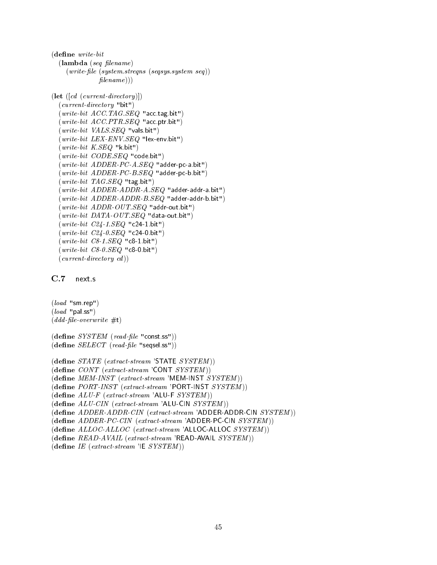```
(define\ write-bit(\textbf{lambda} (seq \text{filename})(write-file (system. streams (segsys. system. seq))filename))(\text{let } ([cd (current\text{-}directory \text{})])(current-directory "bit")
  (write-bit ACC.TAG.SEQ "acc.tag.bit")
  (write-bit ACC.PTR. SEQ "acc.ptr.bit")
  (write-bit \ <i>VALS. SEQ</i> \ "vals-bit")(write-bit LEX-ENV. SEQ "lex-env. bit")
  (write-bit K. SEQ "k. bit")(write-bit CODE, SEQ "code.bit")
  (write-bit ADDER-PC-A.SEQ "adder-pc-a.bit")
  (write-bit ADDER-PC-B.SEQ "adder-pc-b.bit")
  (write-bit TAGSEG "tag.bit")
  (write-bit ADDER-ADDR-A.SEQ "adder-addr-a.bit")
  (write-bit ADDER-ADDR-B.SEQ "adder-addr-b.bit")
  (write-bit ADDR-OUT. SEQ "addr-out.bit")
  (write-bit \text{ }DATA\text{-}OUT\text{ }SEG "data-out.bit")
  (write-bit C24-1. SEQ "c24-1. bit")(write-bit C24-0.SEQ "c24-0.bit")
  (write-bit C8-1. SEQ "c8-1. bit")(write-bit \; CS-0.SEQ \; "c8-0.bit")(current\cdot directory \cdots
```
 $(load "sm.rep")$  $(\text{load "pal ss")}$  $(ddd$ -file-overwrite  $\#t)$ 

 $(\text{define } SYSTEM \ (read-file \ "const.ss"))$  $(define SELECT (read-file "seqsel.ss"))$ 

```
(define STATE (extract-stream 'STATE SYSTEM ))
(\text{define } \textit{CONT} \text{ (extract-stream 'CONT} \textit{ SYSTEM}))(\text{define } MEM\text{-}INST \text{ } (extract\text{-}stream \text{ } 'MEM\text{-}INST \text{ } SYSTEM))(define \, PORT\text{-}INST \, (extract\text{-}stream \, 'PORT\text{-}INST \, SYSTEM))(\text{define} ALU-F (extract-stream 'ALU-F SYSTEM))(\text{define } ALU-CIN \ (extract-stream \ 'ALU-CIN \ SYSTEM))(\text{define } ADDER\text{-}ADDR\text{-}CIN \text{ (extract-stream 'ADDER-ADDR\text{-}CIN \text{ } SYSTEM)} )(define ADDER-PC-CIN (extract-stream 'ADDER-PC-CIN SYSTEM))(\text{define } ALLOC-ALLOC \text{ } (extract-stream \text{ } 'ALLOC-ALLOC \text{ } SYSTEM))(\text{define } READ\text{-}AVAIL \text{ } (extract\text{-}stream \text{ } 'READ\text{-}AVAIL \text{ } SYSTEM))(\text{define } IE \text{ } (extract\text{-}stream \text{ } 'IE \text{ } SYSTEM))
```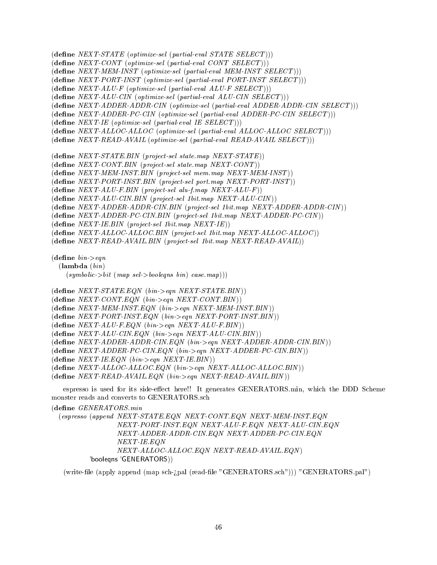$(\text{define } NEXT\text{-}STATE\ (optimize\text{-}sel\ (partial\text{-}eval\; STATE\; SEXECT)))$ 

 $(d$ efine NEXT-CONT (optimize-sel (partial-eval CONT SELECT)))

 $(\text{define } NEXT\text{-}MEM\text{-}INST (optimize-sel (partial-eval MEM\text{-}INST SELECT)))$ 

 $(d$ efine  $NEXT\cdot PORT\cdot INST$  (optimize-sel (partial-eval  $PORT\cdot INST$   $SELECT$ )))

 $(\text{define } NEXT\text{-}ALU\text{-}F \text{ (}optimize\text{-}sel \text{ (}partial\text{-}eval \text{ } ALU\text{-}F \text{ } SELECT))\text{)}$ 

 $(\text{define } NEXT\text{-}ALU\text{-}CIN \text{ (primitive-}sel \text{ (partial-eval } ALU\text{-}CIN \text{ SELECT})))$ 

(dene NEXT-ADDER-ADDR-CIN (optimize-sel (partial-eval ADDER-ADDR-CIN SELECT )))

 $(define NEXT-ADDER-PC-CIN (optimize-sel (partial-eval ADDER-PC-CIN SELECT)))$ 

 $(\text{define } NEXT\text{-}IE \text{ (}optimize\text{-}sel \text{ (}partial\text{-}eval \text{ }IE \text{ } SELECT))\text{)}$ 

 $(\text{define } NEXT\text{-}ALLOC\text{-}ALLOC$  (optimize-sel (partial-eval  $ALLOC\text{-}ALLOC$   $SELECT$ )))

 $(\text{define } NEXT\text{-}READ-AVAIL \text{ (primitive-}sel \text{ (partial-eval } READ-AVAIL SELECT)))$ 

 $(\text{define } NEXT\text{-}STATE.BIN \text{ (project-sel state map } NEXT\text{-}STATE))$ 

 $(define NEXT-CONT.BIN (project-sel state.map NEXT-CONT))$ 

 $(\text{define } NEXT\text{-}MEM\text{-}INST. BIN (project-sel mem.map NEXT\text{-}MEM\text{-}INST))$ 

 $(d$ efine NEXT-PORT-INST.BIN (project-sel port.map NEXT-PORT-INST))

 $(\text{define } NEXT-ALU-F.BIN (project-sel alu-fmap NEXT-ALU-F))$ 

 $(d$ efine NEXT-ALU-CIN.BIN (project-sel 1bit.map NEXT-ALU-CIN))

(dene NEXT-ADDER-ADDR-CIN.BIN (project-sel 1bit.map NEXT-ADDER-ADDR-CIN ))

(define NEXT-ADDER-PC-CIN.BIN (project-sel 1bit.map NEXT-ADDER-PC-CIN))

 $(\text{define } NEXT\text{-}IE.BIN (project-sel 1bit.map NEXT\text{-}IE))$ 

 $(\text{define } NEXT\text{-}ALLOC\text{-}ALLOC. BIN (project-sel 1bit.map NEXT\text{-}ALLOC\text{-}ALLOC))$ 

 $(\text{define } NEXT-READ-AVAIL.BIN (project-sel 1bit-map NEXT-READ-AVAIL))$ 

 $(define\ bin\geq eqn$ 

(lambda (bin)

 $(symbolic\gt{bit}$   $(map \ sel\gt{boolean} \ bin) \ case (map)))$ 

 $(define NEXT-STATEEDN (bin > eqn NEXT-STATEBIN))$ 

 $(d$ efine *NEXT-CONT.EQN*  $(bin > eqn$  *NEXT-CONT.BIN* $))$ 

 $(\text{define } NEXT\text{-}MEM\text{-}INST.EQN (bin>eqn NEXT\text{-}MEM\text{-}INST.BIN))$ 

 $(\text{define } NEXT\text{-}PORT\text{-}INST\text{-}EQN \text{ } (bin\text{-}\text{-}\text{eqn } NEXT\text{-}PORT\text{-}INST\text{-}BIN))$ 

- $(\text{define } NEXT\text{-}ALU\text{-}F.EQN \text{ (bin}\text{-}\text{-}eqn \text{ } NEXT\text{-}ALU\text{-}F.BIN))$
- $(d$ efine NEXT-ALU-CIN.EQN  $(bin > eqn$  NEXT-ALU-CIN.BIN $))$

 $(\text{define } NEXT\text{-}ADDER\text{-}ADDR\text{-}CIN\text{-}EQN\text{ (bin->eqn } NEXT\text{-}ADDR\text{-}CIN\text{-}BIN))$ 

 $(\text{define } NEXT\text{-}ADDER\text{-}PC\text{-}CIN\text{-}EQN\text{ (bin}\text{-}\text{-}eqn$   $NEXT\text{-}ADDER\text{-}PC\text{-}CIN\text{-}BIN))$ 

 $(\text{define } NEXT\text{-}IE\text{-}EQN \text{ (bin}\text{-}\text{-}\text{eqn } NEXT\text{-}IE\text{-}BIN))$ 

 $(\text{define } NEXT\text{-}ALLOC\text{-}ALLOC\text{-}EQN \text{ (bin}\text{-}\text{seqn } NEXT\text{-}ALLOC\text{-}ALLOC\text{-}BIN))$ 

 $(\text{define } NEXT\text{-}READ\text{-}AVAIL \text{}.EQN \text{ (bin->eqn } NEXT\text{-}READ\text{-}AVAIL \text{}.BIN))$ 

espresso is used for its side-effect here!! It generates GENERATORS.min, which the DDD Scheme monster reads and converts to GENERATORS.sch

 $(define \t\t\t GENERATORS.min$ 

(espresso (append NEXT-STATE.EQN NEXT-CONT.EQN NEXT-MEM-INST.EQN NEXT-PORT-INST.EQN NEXT-ALU-F.EQN NEXT-ALU-CIN.EQN NEXT-ADDER-ADDR-CIN.EQN NEXT-ADDER-PC-CIN.EQN NEXT-IE.EQN NEXT-ALLOC-ALLOC.EQN NEXT-READ-AVAIL.EQN ) 'booleqns 'GENERATORS))

(write-file (apply append (map sch-; pal (read-file "GENERATORS.sch"))) "GENERATORS.pal")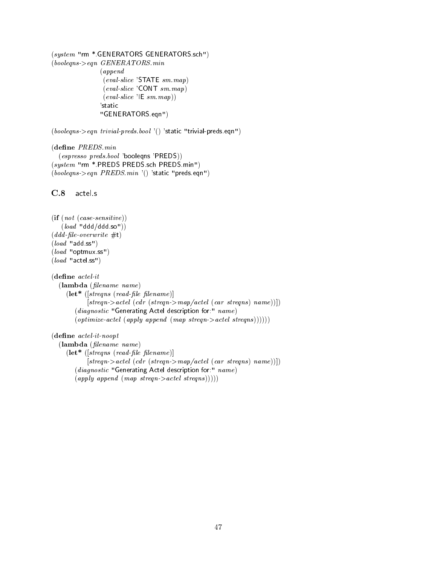(system "rm \*.GENERATORS GENERATORS.sch")  $(booleans\text{~}seqn$  *GENERATORS.min* (append (eval-slice 'STATE sm.map) (eval-slice 'CONT sm.map)  $\left(\text{eval-slice 'IE } \text{sm}.\text{map}\right)$ 'static "GENERATORS.eqn")

 $(booleans > eqn trivial-preds.bool '() 'static "trivial-preds.eqn")$ 

(define PREDS.min (espresso preds.bool 'booleqns 'PREDS)) (system "rm \*.PREDS PREDS.sch PREDS.min")  $(booleans\rightarrow eqn \ PREDS.min \ '() 'static "preds eqn")$ 

C.8 actel.s

```
(if (not (case-sensitive))
   (load "ddd/ddd so"))(ddd-file-overwrite #t)
(load "add.ss")
(\text{load "optmux.ss")}(load "actel.ss")
(define \; actel \cdot it)(lambda (lename name)
     (\textbf{let*} ([streqns (read-file filename)]
            [step -> actel (cdr (stream >map/cctel (car streqns) name))])(diagnostic \text{ "Generating Actel description for." } name)(\text{ optimize-actel (apply append (map stream > acted strength))))))
```
 $(define \; actel-it-noopt$ 

(lambda (lename name)  $(\textbf{let*}$   $([strength\;filename)]$  $[step -> actel (cdr (stream >map/cctel (car stregns) name))])$ (diagnostic "Generating Actel description for:"  $name)$  $(\text{apply append }(\text{map stream} > \text{actel stream}))))$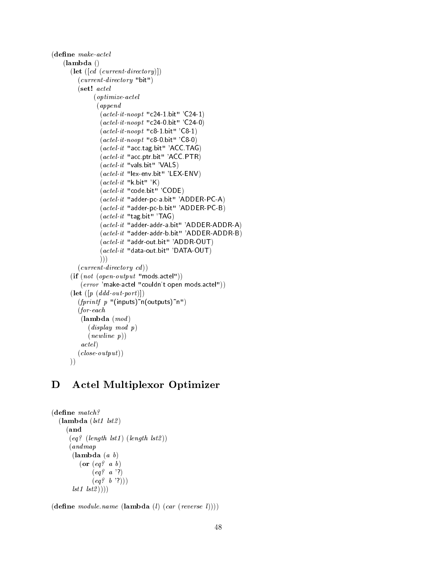```
(define\ make\ acted(lambda ()
       (\text{let } ([cd \ (current\text{-}directory)])(current-directory "bit")
          (set! actel
                (optimize-actel
                 (append
                   (\textit{actel-it-noopt "c24-1 bit" 'C24-1})(\text{actel-it-no} "c24-0.bit" 'C24-0)
                   (\textit{actel-it-no}o\textit{pot} "c8-1.bit" 'C8-1)
                   (\textit{actel-it-no}o\textit{not "c8-0.}bit" 'C8-0)
                   (\textit{actel-it} "acc.tag.bit" 'ACC.TAG)
                   (\textit{actel-it} "acc.ptr.bit" 'ACC.PTR)
                   (\textit{actel-it "vals bit" 'VALS})(\textit{actel-it} "lex-env.bit" 'LEX-ENV)
                   (\textit{actel-it "k bit" 'K})(actel-it "code.bit" 'CODE)
                   (\textit{actel-it} "adder-pc-a.bit" 'ADDER-PC-A)
                   (actel-it "adder-pc-b.bit" 'ADDER-PC-B)
                   (\textit{actel-it "tag bit" 'TAG})(actel-it "adder-addr-a.bit" 'ADDER-ADDR-A)
                   (\emph{actel-it} "adder-addr-b.bit" 'ADDER-ADDR-B)
                   (actel-it "addr-out.bit" 'ADDR-OUT)
                   (\textit{actel-it} "data-out.bit" 'DATA-OUT)
                  )))
          (current\cdot directory\ cd))(if (not (open-output "mods.actel")))(error 'make-actel "couldn't open mods.actel"))
       (\textbf{let } ([p \ (ddd\text{-}out\text{-}port)])(fprint f p "(inputs)~n(outputs)~n")
          (for-each
           (\textbf{lambda} \ (mod)(display mod p)
              (new line p))actel )
          (close-output))))
```
## D Actel Multiplexor Optimizer

```
(define \ match?(lambda (lst1 lst2)(and
        \mathbf{a} and \mathbf{a} and \mathbf{a} and \mathbf{a} and \mathbf{a} and \mathbf{a} and \mathbf{a} and \mathbf{a}(eq? (length lst1) (length lst2))(andmap
           (\textbf{lambda} (a \; b))(or (eq? a b)(eq? \, a \, '?)(eq? b '?)lst1 lst2))))
```
 $(\text{define module}.\textit{name}(\text{lambda}(l) \text{ (car (reverse l))))$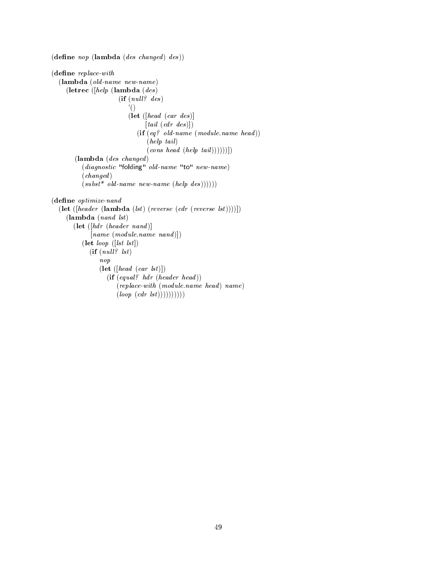```
(\text{define } nop \text{ (lambda } (des \text{ changed } des))(define\ replace-with(lambda (old-name new-name)
     (letrec ([help (lambda (des )
                         (if (null? ds)'()
                             (let ([head (car des )]
                                   [tail (cdr des)])(if (eq? old-name (module.name head))(help tail )
                                    \left( \text{cons head (help tail)}))))(lambda (des changed )
           (diagnostic "folding" old-name "to" new-name)
           (changed )
           (subst * old-name new-name (help des))))(define\ optimizer(\textbf{let } (\text{header } (\textbf{lambda } (lst) (reverse } (cdr (reverse \text{lst}))))))(\textbf{lambda} \text{ (nand } \textit{lst})(\textbf{let } ([hdr \; (header \; nand[name \ (module.name \ nand)](\textbf{let } loop \;([lst \;lst])(if (null? \; lst)nop
                  (\textbf{let } ([head (car \;lst)])(if (equal? <i>hdr (header head))(replace-with (module.name head) name)(logp (cdr (lst))))))))))
```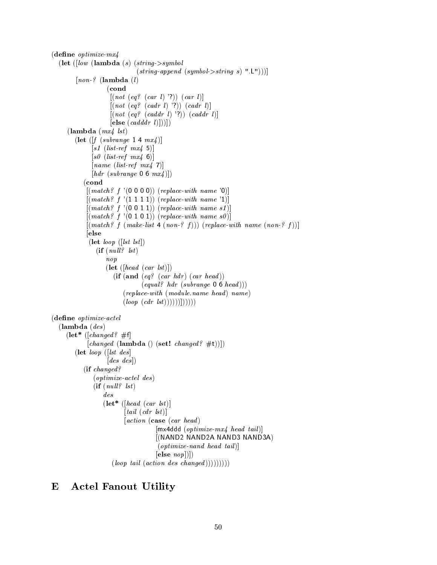```
(define\ optimizer - mx4(let ([low (lambda(s)(string->symbol
                               (string\text{-}append\ (symbol\text{-}symbol\text{-}string\ s) ".L"))]
         [non.? (lambda (l)(cond
                     [(not (eq? (car l) '?))(car l)][(not (eq? (cadr l) '?))(cadr l)][(not (eq? (caddr l) '?))(caddr l)][else (cadddr l) ]))](lambda (mx4, lst))(let ([f (subrange 1 4 m<i>x</i>4))
               [s1 (list-ref mx4 5)]
              [s0 (list-ref mx4 6)]
              [name (list-ref mx4 7)][hdr (subrange 0 6 mx4)])
           (cond
            \mathcal{L} (condition to the condition of \mathcal{L}[(match? f '(0 0 0 0)) (replace-with name '0)][(match? f '(1 1 1 1)) (replace-with name '1)][(match? f '(0 0 1 1)) (replace-with name s1)][(match? f'(0 1 0 1)) (replace-with name s0)][(match? f (make-list 4 (non-? f))) (replace-with name (non-? f))][else
             (\text{let } loop \;([lst \;lst])(if (null? \; lst)nop
                    (\text{let } (\text{head } (car \text{lst})))(i\mathbf{f}(\mathbf{and} (eq? (car <i>hd</i>r) (car <i>head</i>)))\ (equal? \ hat (subrange 0 6 head)))(replace-with (module.name head) name)(logp (cdr (lst))))))))))(dene optimize-actel
  (\textbf{lambda} (des))(\text{let* } ([changed? \#f])[changed (lambda () (set! changed? \#t)]])
        (let loop ([lst des ]
                    [des\ des](if changed?
               (optimize-actel des )
               (if (null? 1st)des
                   (\textbf{let* } ([head~(\textit{car list})])[tail (cdr 1st)][action (case (car head)[mx4ddd (optimize-mx4 head tail)][(NAND2 NAND2A NAND3 NAND3A)
                                       (optimize-nand head tail)]
                                      [else~nop]](loop \ tail \ (action \ des \ changed)))))))))
```
## E Actel Fanout Utility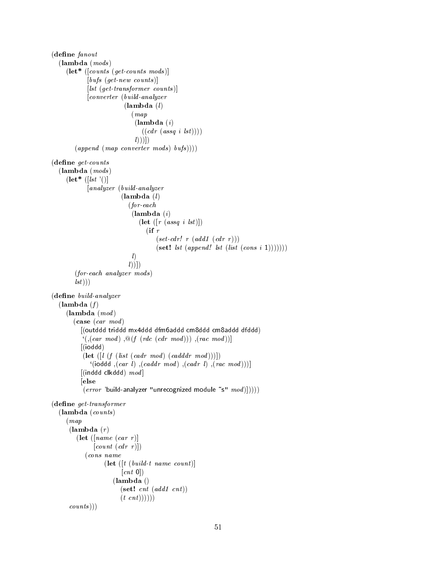```
(define fanout
   (lambda (mods )
      (let* ([counts (get-counts mods )]
                [bufs (get-new counts)][lst (get-transformer \ counts)][converter (build-analyzer
                                 (lambda (l))(map
                                      (\textbf{lambda}(i))((cdr (assq i lst))))(l))])
          (\text{append }(\text{map } \text{converter } \text{mods } \text{) \text{ }\text{bufs }))))(define\ get\ counts(\textbf{lambda} \, (mod s))(\text{let}^* ([lst ]))[analyzer (build-analyzer
                               (lambda (l)(for-each
                                    (\textbf{lambda}(i))(\text{let } ([r (assq i 1st)])(if r(set-cdr! r (add1~(cdr~r)))(\textbf{set!} \; \mathit{lst} \; (\mathit{append!} \; \mathit{lst} \; (\mathit{loss} \; \mathit{ i } \; \mathit{ 1}))))))ll))])
          (for-each analyzer mods )
          (1st))(define \; build\text{-}analyzer(\textbf{lambda}(f))(\textbf{lambda} \ (mod)(\textbf{case}~(\textit{car}~\textit{mod})[(outddd triddd mx4ddd dfm6addd cm8ddd cm8addd dfddd)
              \mathcal{E}((car \mod) , \mathcal{Q}(f (rdc (cdr \mod))) , (rac \mod))[(ioddd)
              (\textbf{let } ( [l \ (f \ (list \ (cadr \ mod) \ (cadddr \ mod)))])((i \text{odd}), (car \text{ } l), (caddr \text{ } mod), (cadr \text{ } l), (rac \text{ } mod)))[(inddd \, clkddd) \, mod][else
              \{(error \text{'}build-analyzer \text{''unrecognized module } \text{``s''} \text{''} mod)])\}(define\ get-transformer(lambda (counts )
       (map
        (\textbf{lambda}(r))(\text{let } (|name~(car~r))\lceil \text{count}(\text{cdr } r) \rceil)(cons name
                        (\textbf{let } ([t (build-t name count)])[cnt 0](lambda ()
                               (\textbf{set!} \>\> \textit{cnt} \>\> (\textit{add1} \>\> \textit{cnt}))(t \; cnt))))))counts))
```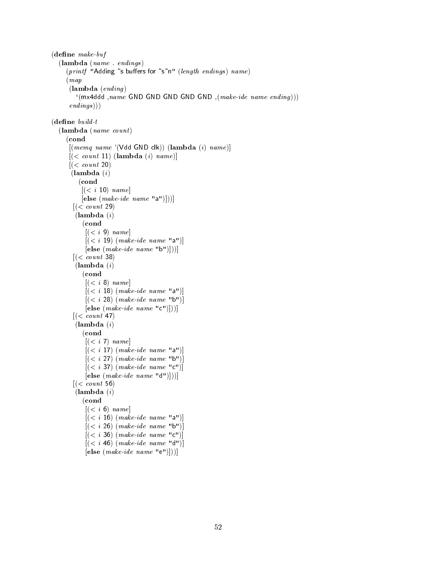```
(define make-buf)(lambda (name . endings )
      (printf "Adding"s buffers for "s"n" (length endings) name)
      (map
       (\textbf{lambda} (ending))((m \times 4ddd, name GND GND GND GND GND ,(make\text{-}ide\text{-}name\text{-}ending)))endings))
(define \; build \cdot t(lambda (name count )
      (cond
       [(memq \ name '(\text{Vdd GND c}k)) (\text{lambda } (i) \ name)][(<i>count</i> 11) (lambda (i) name)]
       [(<i>count</i> 20)(\textbf{lambda}(i))(cond
            [(<i>i</i> 10) <i>name</i>][e] \textbf{else} \ (make\textit{-}ide\ name\ "a")])[(<i>count</i> 29)](\textbf{lambda}(i))(cond
             [(<i>i</i> 9) <i>name</i>][(<i>i</i> 19) (make-ide name "a")][e] \text{le } (make\text{-}ide\text{-}name\text{-}"\text{b"]})[(<i>count</i> 38)](\textbf{lambda}(i))(cond
             [(<i>i</i> 8) name][(<i>i</i> 18) (make-ide name "a")][ (<i>i</i> 28) (make-ide name "b")][e] \text{le } (make\text{-}ide\text{-}name\text{-}"c")])[(<i>count</i> 47)(\textbf{lambda}(i))(cond
             [(<i>i</i> 7) <i>name</i>][(<i>i</i> 17) (make-ide name "a")][(<i>i</i> 27) (make-ide\ name\ "b")][(<i>i</i> 37) (make-ide name "c")][e] \text{lse} \left( \text{make-} \text{ide} \text{ name } "d" \right)[(<i>count</i> 56)](\textbf{lambda}(i))(cond
             [(<i>i</i> 6) name][ (<i>i</i> 16) (make-ide name "a")][(<i>i</i> 26) (make-ide name "b")][(<i>i</i> 36) (make-ide name "c")][(<i>i</i> 46) (make-ide name "d")]
```

```
[e] \textbf{else} \ (make\textit{-}ide\ name\ "e")])
```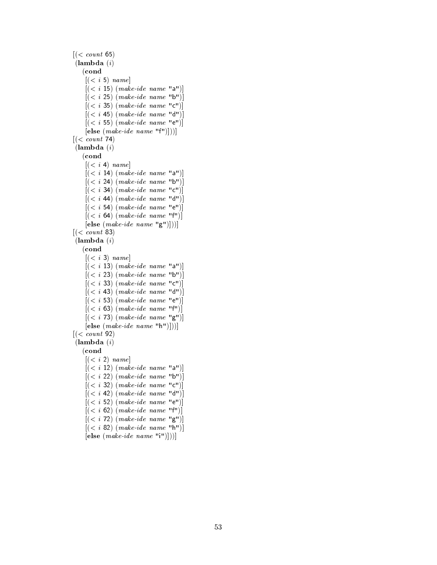$[(*count* 65)]$  $(\textbf{lambda}(i))$ (cond  $[(*i* 5) name]$  $[ (*i* 15) (make-ide name "a")]$  $[(*i* 25)$   $(make-ide name "b")]$  $[(*i* 35) (make-ide name "c")]$  $[(*i* 45) (make-ide name "d")]$  $[ (*i* 55) (make-ide name "e")]$  $[e] \textbf{else} \ (make\text{-}ide\ name\ "f")])$  $[(*count* 74)]$  $(\textbf{lambda}(i))$ (cond  $[(*i* 4) name]$  $[(*i* 14)$   $(make-ide name "a")]$  $[(*i* 24)$   $(make-ide name "b")]$  $[ (*i* 34) (make-ide name "c")]$  $[(*i* 44) (make-ide name "d")]$  $[(*i* 54) (make-ide name "e")]$  $[(*i* 64) (make-ide name "f")]$  $[e] \text{le } (make\text{-}ide\text{-}name\text{-}"g")])$  $[(*count* 83)]$  $(\textbf{lambda}(i))$ (cond  $[(*i* 3) name]$  $[(*i* 13) (make-ide name "a")]$  $[(*i* 23) (make-ide name "b")]$  $[ (*i* 33) (make-ide name "c")]$  $[(*i* 43)$   $(make-ide name "d")]$  $[(*i* 53)$   $(make-ide name "e")]$  $[(*i* 63)$   $(make-ide name "f")]$  $[(*i* 73) (make-ide name "g")]$  $[e] \textbf{else} \ (make\text{-}ide\ name\ "h")])$  $[(*count* 92)]$  $(\textbf{lambda}(i))$ (cond  $[(*i* 2) name]$  $[(*i* 12)$   $(make-ide name "a")]$  $[(*i* 22)$   $(make-ide name "b")]$  $[(*i* 32) (make-ide name "c")]$  $[(*i* 42)$   $(make-ide name "d")]$  $[(*i* 52) (make-ide name "e")]$  $[(*i* 62) (make-ide name "f")]$  $[(*i* 72)$   $(make-ide name "g")]$  $[(*i* 82)$   $(make-ide name "h")]$  $[e] \textbf{else} \ (make\textit{-}ide\ name\ "i")])$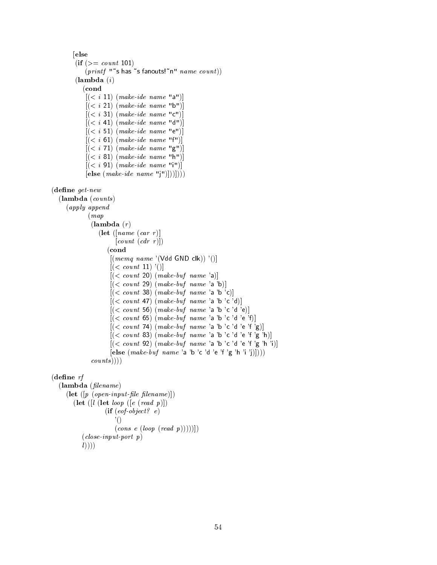```
[else
         (ii (> = count 101)(printf ""s has "s fanouts!"n" name \ count)
         (\textbf{lambda}(i))\sqrt{c} conditions to \sqrt{c}[(<i>i</i> 11) (make-ide name "a")][(<i>i</i> 21) (make-ide name "b")][(<i>i</i> 31) (make-ide name "c")][ (<i>i</i> 41) (make-ide name "d")][(<i>i</i> 51) (make-ide name "e")][ (<i>i</i> 61) (make-ide name "f")][ (<i>i</i> 71) (make-ide name "g")][(<i>i</i> 81) (make-ide name "h")][(<i>i</i> 91) (make-ide name "i")][else (make-ide name "j")|))])(define\ get\ new(lambda (counts )
     (apply append
              (map
               (\textbf{lambda}(r))(let ([name (car r))])
                         [count (cdr r)])(cond
                       [(memq \ name \ '(\text{Vdd} \text{ GND} \text{ clk})) \ '()][(<i>count</i> 11)<sup>'</sup>()]
                       [(<i>count</i> 20) (make-buf name 'a)][(<i>count</i> 29) (make-bit name 'a 'b)][(<i>count</i> 38) (make-buf name 'a 'b 'c)][(<i>count</i> 47) (make-buf name 'a 'b 'c 'd)][(<i>count</i> 56) (<i>make-bit name</i>'a 'b 'c 'd 'e)][(<i>count</i> 65) (<i>make-bit name</i>'a 'b 'c 'd 'e 'f)][(<i>count</i> 74) (make-buf name 'a 'b 'c 'd 'e 'f 'g)][(<i>count</i> 83) (make-buf name 'a 'b 'c 'd 'e 'f 'g 'h)][(<i>count</i> 92) (make-buf name 'a 'b 'c 'd 'e 'f 'g 'h 'i)][e] \simeq (make \text{--}but \text{--}name 'a 'b 'c 'd 'e 'f 'g 'h 'i 'j)]))counts))))
(define \; rf)(lambda (filename)(\textbf{let } ([p (open-input-file filename)])(let \left(\left[l \right] (let loop \left(\left[e \left(\text{read } p\right)\right]\right))
                     (if (eof object? e)'()
```

```
\left(\text{cons } e \text{ (loop } (\text{read } p))))\right)
```

```
(close-input-port p)
```

```
l))))
```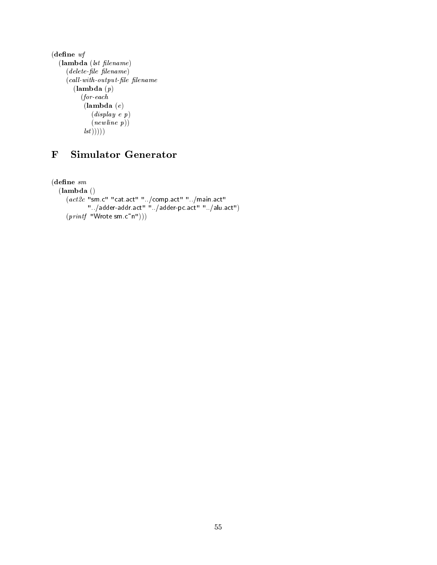```
(define wf
  (lambda (lst filename))(delete-file filename)
    \emph{(call-with-output-file filename)}(lambda (p)
         (for-each
          (lambda (e)
             (display e p)
             (newline p))(1st))))
```
# F Simulator Generator

 $(define \, sm)$ (lambda () (act2c "sm.c" "cat.act" "../comp.act" "../main.act" "../adder-addr.act" "../adder-pc.act" "../alu.act")  $(printf$  "Wrote sm.c~n")))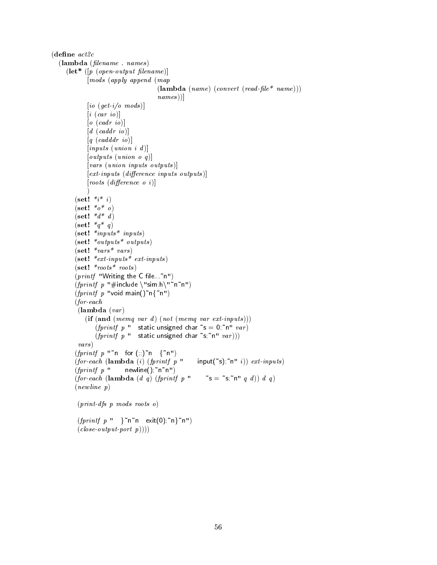$(define \; act2c$ (lambda (lename . names )  $(\textbf{let*} \ (|p \ (open-output \ filename))$ [mods (apply append (map  $(\textbf{lambda} (name) (convert (read-file * name)))$ names)  $[io (get-i/o \text{ mod } s)]$  $[i (car io)]$  $[o~(cadr~io)]$  $\left[d \ (caddr \ io)\right]$  $[q (cadddr io)]$  $|inputs (union i d)|$  $[outputs (union o q)]$ [vars (union inputs outputs )]  $[ext-inputs (difference inputs outputs)]$  $[roots (difference \space o \space i)]$  $\lambda$ )  $(\text{set!} \; *i * i)$ (set!  $*_{0}*_{0}$ )  $(\text{set}!$  \* $d^* d)$  $(\text{set}! \; *q * q)$  $(\textbf{set!}$  \*inputs\* inputs) (set! \*outputs\* outputs ) (set! \*vars\* vars )  $(\textbf{set!} * ext\text{-}inputs * ext\text{-}inputs)$  $(\textbf{set!}$  \*roots\* roots)  $(print$  "Writing the C file...~n") (fprintf p "#include \"sim.h\"~n~n")  $(fprint f p$  "void main()"n{"n") (for-each  $(\textbf{lambda}(var))$  $(i\mathbf{f}(\mathbf{and} (memp \text{ var } d) (not (memp \text{ var } ext-inputs)))$ (*fprintf*  $p$  " static unsigned char  $\tilde{ }$  s = 0; n"  $var$ ) (*fprintf*  $p$  " static unsigned char  $\tilde{s}$ ; n"  $var$ ))) vars )  $(fprint f p "n for (;;)^n (fnn')$ (for-each (lambda (i) (fprintf p " input(~s);~n" i))  $ext{\text{-}inputs}$ )  $(fprint f p$  " newline(); n<sup>~</sup>n") (for-each (lambda (d q) (fprintf p " ~ s = ~s;~n" q d)) d q)  $(newline p)$ (print-dfs p mods roots o)

> $(fprint f p'' \}^n n^m \text{ exit}(0);^n \}^n)$  $(close-output-port p)))$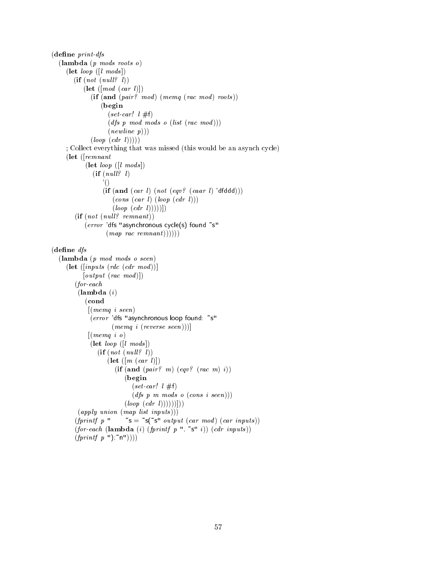```
(define\ print-dfs(lambda (p mods roots o)
     (\text{let } loop([l \text{ mod } s]))(if (not (null? l))(\text{let } (mod (car l)))(if (and (pair? \mod) (memq (rac \mod) \ roots))(begin
                      (set-car! l #f)(dfs \, p \, mod \, mod \, mod \, s \, o \, (list \, (rac \, mod \,)))(new line p))(log p (cdr l)))); Collect everything that was missed (this would be an asynch cycle)
     (let ([remnant
             (\text{let } loop ([l \; mod s]))(if (null? l)'()
                    (if (and (car l) (not (eqv? (caar l) 'dfddd)))(cons (car l) (loop (cdr l)))(log p (cdr l))))(if (not (null? remnant))(error 'dfs "asynchronous cycle(s) found "s"
                     (\text{map } \text{rac} \text{rennant}))))(define dfs(lambda (p mod mods o seen)
     (\textbf{let } (\text{intputs } (\text{rdc } (\text{cdr } mod)))[output (rac mod)])(for-each
          (\textbf{lambda}(i))(cond
              [(memq i seen)
              (error 'dfs "asynchronous loop found: "s"
                       (memq i (reverse seen)))]
              [(memq i o)](\text{let } loop([l \; mod s]))(if (not (null? l))(\text{let } ([m (car l)])(if (and (pair? m) (eqv? (rac m) i))(begin
                               (set-car! l #f)(dfs \ p \ m \ modes \ o \ (cons \ i \ seen)))(log p (cdr (l))))))(\text{apply union} (\text{map list inputs})))(fprintf p " \tilde{\phantom{a}} s = \tilde{\phantom{a}} s(\tilde{\phantom{a}} s" output (car mod) (car inputs))
         (for\text{-}each (lambda (i) (fprintf p ", "s" i)) (cdr inputs))
         (fprint f p'');\text{`n''})))
```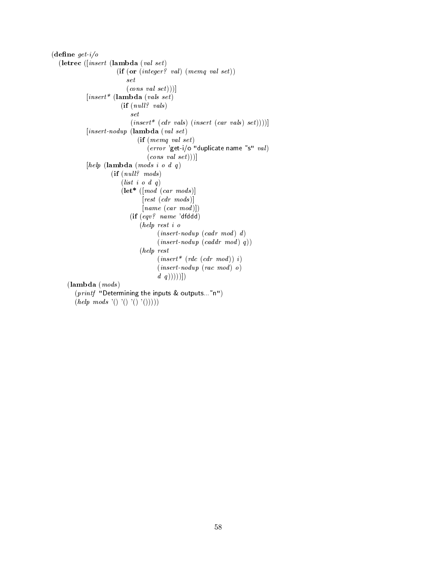$(define get-i/o$ (letrec ([insert (lambda (val set )  $(if (or (integer? val) (memq val set))$ set  $\left( \text{cons}\text{ }\text{val}\text{ }\text{set}\right))$  $[insert^*$  (lambda (vals set)  $(if (null? \ vals)$ set  $(insort*(cdr \text{ }vals) \text{ } (insert \text{ } (car \text{ } vals) \text{ } set))))$  $[insert-nody (lambda (val set)$  $(if (memq val set)$  $(error$  'get-i/o "duplicate name "s"  $val$ )  $(cons \ val \ set))$  $[help \; (lambda \; (mods \; i \; o \; d \; q))$  $(if (null? \ modes)$ (*list*  $i \ o \ d \ q$ )  $(\textbf{let* } ([mod~(\textit{car~mods})])$ [rest (cdr mods )]  $[name\ (car\ mod)]$ (if (eqv? name 'dfddd) (help rest i o  $(inset-nody~(cadr~mod)~d)$  $(inset-nody~(caddr~mod)~q))$ (help rest  $(inset * (rdc (cdr mod)) i)$  $(inset-nody~(rac~mod)~o)$  $(d(q))))$ ]  $(\textbf{lambda} \, (mods))$ (*printf* "Determining the inputs & outputs... "n")  $(help \mod s'() '() '() '()))))$